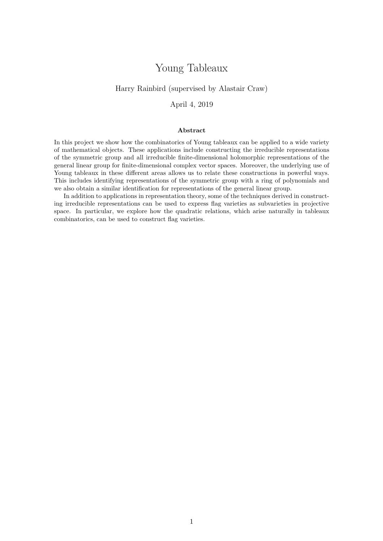# Young Tableaux

### Harry Rainbird (supervised by Alastair Craw)

April 4, 2019

#### Abstract

In this project we show how the combinatorics of Young tableaux can be applied to a wide variety of mathematical objects. These applications include constructing the irreducible representations of the symmetric group and all irreducible finite-dimensional holomorphic representations of the general linear group for finite-dimensional complex vector spaces. Moreover, the underlying use of Young tableaux in these different areas allows us to relate these constructions in powerful ways. This includes identifying representations of the symmetric group with a ring of polynomials and we also obtain a similar identification for representations of the general linear group.

In addition to applications in representation theory, some of the techniques derived in constructing irreducible representations can be used to express flag varieties as subvarieties in projective space. In particular, we explore how the quadratic relations, which arise naturally in tableaux combinatorics, can be used to construct flag varieties.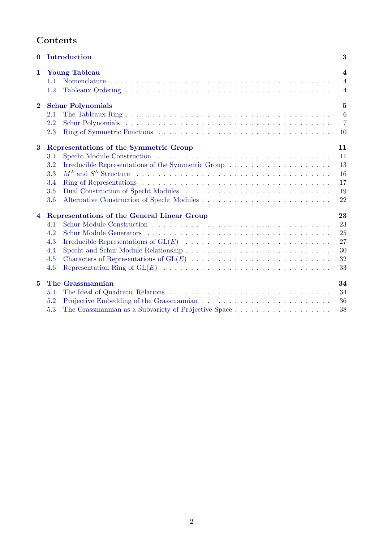# Contents

| $\mathbf{0}$   | Introduction                                                                          | 3                                                           |
|----------------|---------------------------------------------------------------------------------------|-------------------------------------------------------------|
| $\mathbf{1}$   | <b>Young Tableau</b><br>1.1<br>1.2                                                    | $\overline{\mathbf{4}}$<br>$\overline{4}$<br>$\overline{4}$ |
| $\overline{2}$ | <b>Schur Polynomials</b><br>2.1<br>2.2<br>2.3                                         | $\mathbf{5}$<br>$\overline{6}$<br>$\overline{7}$<br>10      |
| $\bf{3}$       | Representations of the Symmetric Group<br>3.1<br>3.2<br>3.3<br>3.4<br>3.5<br>3.6      | 11<br>11<br>13<br>16<br>17<br>19<br>22                      |
| $\overline{4}$ | Representations of the General Linear Group<br>4.1<br>4.2<br>4.3<br>4.4<br>4.5<br>4.6 | 23<br>23<br>25<br>27<br>30<br>32<br>33                      |
| $\bf{5}$       | The Grassmannian<br>5.1<br>5.2<br>5.3                                                 | 34<br>34<br>36<br>38                                        |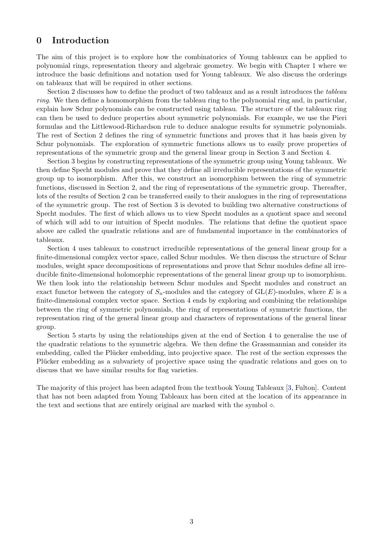# <span id="page-2-0"></span>0 Introduction

The aim of this project is to explore how the combinatorics of Young tableaux can be applied to polynomial rings, representation theory and algebraic geometry. We begin with Chapter 1 where we introduce the basic definitions and notation used for Young tableaux. We also discuss the orderings on tableaux that will be required in other sections.

Section 2 discusses how to define the product of two tableaux and as a result introduces the *tableau ring*. We then define a homomorphism from the tableau ring to the polynomial ring and, in particular, explain how Schur polynomials can be constructed using tableau. The structure of the tableaux ring can then be used to deduce properties about symmetric polynomials. For example, we use the Pieri formulas and the Littlewood-Richardson rule to deduce analogue results for symmetric polynomials. The rest of Section 2 defines the ring of symmetric functions and proves that it has basis given by Schur polynomials. The exploration of symmetric functions allows us to easily prove properties of representations of the symmetric group and the general linear group in Section 3 and Section 4.

Section 3 begins by constructing representations of the symmetric group using Young tableaux. We then define Specht modules and prove that they define all irreducible representations of the symmetric group up to isomorphism. After this, we construct an isomorphism between the ring of symmetric functions, discussed in Section 2, and the ring of representations of the symmetric group. Thereafter, lots of the results of Section 2 can be transferred easily to their analogues in the ring of representations of the symmetric group. The rest of Section 3 is devoted to building two alternative constructions of Specht modules. The first of which allows us to view Specht modules as a quotient space and second of which will add to our intuition of Specht modules. The relations that define the quotient space above are called the quadratic relations and are of fundamental importance in the combinatorics of tableaux.

Section 4 uses tableaux to construct irreducible representations of the general linear group for a finite-dimensional complex vector space, called Schur modules. We then discuss the structure of Schur modules, weight space decompositions of representations and prove that Schur modules define all irreducible finite-dimensional holomorphic representations of the general linear group up to isomorphism. We then look into the relationship between Schur modules and Specht modules and construct an exact functor between the category of  $S_n$ -modules and the category of  $GL(E)$ -modules, where E is a finite-dimensional complex vector space. Section 4 ends by exploring and combining the relationships between the ring of symmetric polynomials, the ring of representations of symmetric functions, the representation ring of the general linear group and characters of representations of the general linear group.

Section 5 starts by using the relationships given at the end of Section 4 to generalise the use of the quadratic relations to the symmetric algebra. We then define the Grassmannian and consider its embedding, called the Plücker embedding, into projective space. The rest of the section expresses the Plücker embedding as a subvariety of projective space using the quadratic relations and goes on to discuss that we have similar results for flag varieties.

The majority of this project has been adapted from the textbook Young Tableaux [\[3,](#page-40-0) Fulton]. Content that has not been adapted from Young Tableaux has been cited at the location of its appearance in the text and sections that are entirely original are marked with the symbol  $\diamond$ .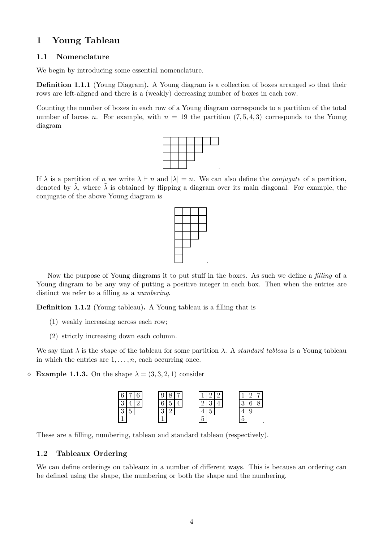# <span id="page-3-0"></span>1 Young Tableau

### <span id="page-3-1"></span>1.1 Nomenclature

We begin by introducing some essential nomenclature.

Definition 1.1.1 (Young Diagram). A Young diagram is a collection of boxes arranged so that their rows are left-aligned and there is a (weakly) decreasing number of boxes in each row.

Counting the number of boxes in each row of a Young diagram corresponds to a partition of the total number of boxes n. For example, with  $n = 19$  the partition  $(7, 5, 4, 3)$  corresponds to the Young diagram



If  $\lambda$  is a partition of n we write  $\lambda \vdash n$  and  $|\lambda| = n$ . We can also define the *conjugate* of a partition, denoted by  $\lambda$ , where  $\lambda$  is obtained by flipping a diagram over its main diagonal. For example, the conjugate of the above Young diagram is



Now the purpose of Young diagrams it to put stuff in the boxes. As such we define a *filling* of a Young diagram to be any way of putting a positive integer in each box. Then when the entries are distinct we refer to a filling as a *numbering*.

Definition 1.1.2 (Young tableau). A Young tableau is a filling that is

- (1) weakly increasing across each row;
- (2) strictly increasing down each column.

We say that  $\lambda$  is the *shape* of the tableau for some partition  $\lambda$ . A *standard tableau* is a Young tableau in which the entries are  $1, \ldots, n$ , each occurring once.

 $\Diamond$  **Example 1.1.3.** On the shape  $\lambda = (3, 3, 2, 1)$  consider



These are a filling, numbering, tableau and standard tableau (respectively).

# <span id="page-3-2"></span>1.2 Tableaux Ordering

We can define orderings on tableaux in a number of different ways. This is because an ordering can be defined using the shape, the numbering or both the shape and the numbering.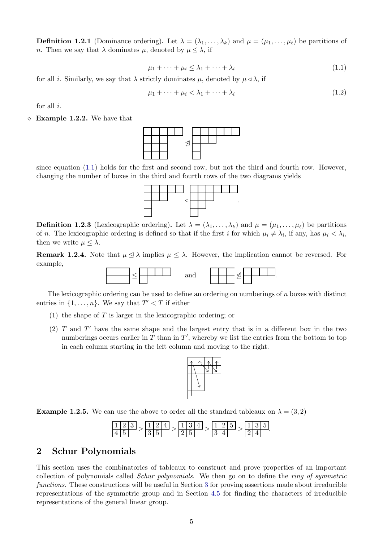**Definition 1.2.1** (Dominance ordering). Let  $\lambda = (\lambda_1, \ldots, \lambda_k)$  and  $\mu = (\mu_1, \ldots, \mu_\ell)$  be partitions of n. Then we say that  $\lambda$  dominates  $\mu$ , denoted by  $\mu \leq \lambda$ , if

<span id="page-4-1"></span>
$$
\mu_1 + \dots + \mu_i \le \lambda_1 + \dots + \lambda_i \tag{1.1}
$$

for all i. Similarly, we say that  $\lambda$  strictly dominates  $\mu$ , denoted by  $\mu \triangleleft \lambda$ , if

$$
\mu_1 + \dots + \mu_i < \lambda_1 + \dots + \lambda_i \tag{1.2}
$$

for all i.

 $\Diamond$  **Example 1.2.2.** We have that



since equation  $(1.1)$  holds for the first and second row, but not the third and fourth row. However, changing the number of boxes in the third and fourth rows of the two diagrams yields



**Definition 1.2.3** (Lexicographic ordering). Let  $\lambda = (\lambda_1, \ldots, \lambda_k)$  and  $\mu = (\mu_1, \ldots, \mu_\ell)$  be partitions of n. The lexicographic ordering is defined so that if the first i for which  $\mu_i \neq \lambda_i$ , if any, has  $\mu_i < \lambda_i$ , then we write  $\mu \leq \lambda$ .

<span id="page-4-2"></span>**Remark 1.2.4.** Note that  $\mu \leq \lambda$  implies  $\mu \leq \lambda$ . However, the implication cannot be reversed. For example,



The lexicographic ordering can be used to define an ordering on numberings of n boxes with distinct entries in  $\{1, \ldots, n\}$ . We say that  $T' < T$  if either

- (1) the shape of  $T$  is larger in the lexicographic ordering; or
- (2)  $T$  and  $T'$  have the same shape and the largest entry that is in a different box in the two numberings occurs earlier in  $T$  than in  $T'$ , whereby we list the entries from the bottom to top in each column starting in the left column and moving to the right.



**Example 1.2.5.** We can use the above to order all the standard tableaux on  $\lambda = (3, 2)$ 



## <span id="page-4-0"></span>2 Schur Polynomials

This section uses the combinatorics of tableaux to construct and prove properties of an important collection of polynomials called *Schur polynomials*. We then go on to define the *ring of symmetric functions*. These constructions will be useful in Section [3](#page-10-0) for proving assertions made about irreducible representations of the symmetric group and in Section [4.5](#page-31-0) for finding the characters of irreducible representations of the general linear group.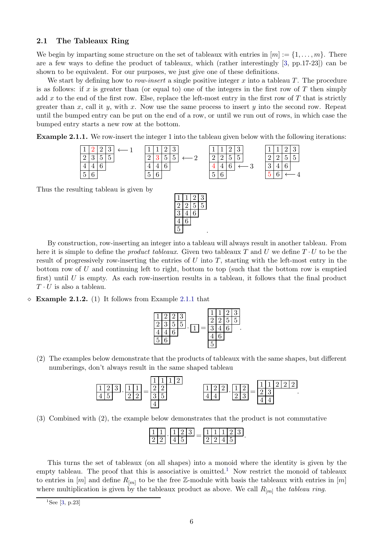### <span id="page-5-0"></span>2.1 The Tableaux Ring

We begin by imparting some structure on the set of tableaux with entries in  $[m] := \{1, \ldots, m\}$ . There are a few ways to define the product of tableaux, which (rather interestingly [\[3,](#page-40-0) pp.17-23]) can be shown to be equivalent. For our purposes, we just give one of these definitions.

We start by defining how to *row-insert* a single positive integer x into a tableau T. The procedure is as follows: if  $x$  is greater than (or equal to) one of the integers in the first row of  $T$  then simply add x to the end of the first row. Else, replace the left-most entry in the first row of  $T$  that is strictly greater than x, call it y, with x. Now use the same process to insert y into the second row. Repeat until the bumped entry can be put on the end of a row, or until we run out of rows, in which case the bumped entry starts a new row at the bottom.

<span id="page-5-1"></span>Example 2.1.1. We row-insert the integer 1 into the tableau given below with the following iterations:



Thus the resulting tableau is given by



By construction, row-inserting an integer into a tableau will always result in another tableau. From here it is simple to define the *product tableaux*. Given two tableaux T and U we define T · U to be the result of progressively row-inserting the entries of  $U$  into  $T$ , starting with the left-most entry in the bottom row of  $U$  and continuing left to right, bottom to top (such that the bottom row is emptied first) until  $U$  is empty. As each row-insertion results in a tableau, it follows that the final product  $T \cdot U$  is also a tableau.

 $\Diamond$  **Example 2.1.2.** (1) It follows from Example [2.1.1](#page-5-1) that



(2) The examples below demonstrate that the products of tableaux with the same shapes, but different numberings, don't always result in the same shaped tableau

| - |   |  |  |  |   |  |  |  |  |
|---|---|--|--|--|---|--|--|--|--|
|   | - |  |  |  | - |  |  |  |  |
|   |   |  |  |  |   |  |  |  |  |

(3) Combined with (2), the example below demonstrates that the product is not commutative

This turns the set of tableaux (on all shapes) into a monoid where the identity is given by the empty tableau. The proof that this is associative is omitted.<sup>[1](#page-5-2)</sup> Now restrict the monoid of tableaux to entries in  $[m]$  and define  $R_{[m]}$  to be the free Z-module with basis the tableaux with entries in  $[m]$ where multiplication is given by the tableaux product as above. We call  $R_{[m]}$  the *tableau ring*.

<span id="page-5-2"></span><sup>&</sup>lt;sup>1</sup>See [\[3,](#page-40-0) p.23]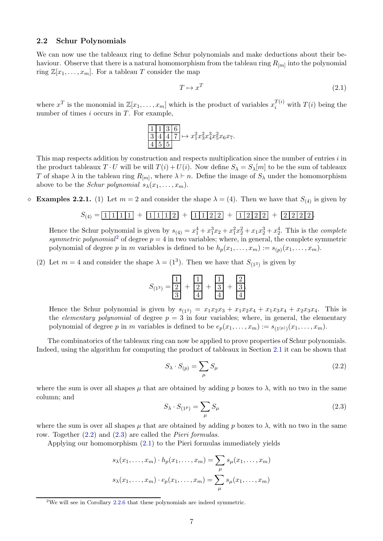### <span id="page-6-0"></span>2.2 Schur Polynomials

We can now use the tableaux ring to define Schur polynomials and make deductions about their behaviour. Observe that there is a natural homomorphism from the tableau ring  $R_{[m]}$  into the polynomial ring  $\mathbb{Z}[x_1,\ldots,x_m]$ . For a tableau T consider the map

<span id="page-6-4"></span>
$$
T \mapsto x^T \tag{2.1}
$$

where  $x^T$  is the monomial in  $\mathbb{Z}[x_1,\ldots,x_m]$  which is the product of variables  $x_i^{T(i)}$  with  $T(i)$  being the number of times  $i$  occurs in  $T$ . For example,

$$
\frac{1}{3} \frac{1}{4} \frac{1}{4} \frac{3}{7} \frac{6}{7} \mapsto x_1^2 x_3^2 x_4^3 x_5^2 x_6 x_7.
$$
  
4 5 5

This map respects addition by construction and respects multiplication since the number of entries i in the product tableaux  $T \cdot U$  will be will  $T(i) + U(i)$ . Now define  $S_{\lambda} = S_{\lambda}[m]$  to be the sum of tableaux T of shape  $\lambda$  in the tableau ring  $R_{[m]}$ , where  $\lambda \vdash n$ . Define the image of  $S_{\lambda}$  under the homomorphism above to be the *Schur polynomial*  $s_{\lambda}(x_1, \ldots, x_m)$ .

 $\Diamond$  **Examples 2.2.1.** (1) Let  $m = 2$  and consider the shape  $\lambda = (4)$ . Then we have that  $S_{(4)}$  is given by

$$
S_{(4)} = \boxed{1 \mid 1 \mid 1 \mid 1} + \boxed{1 \mid 1 \mid 1 \mid 2} + \boxed{1 \mid 1 \mid 2 \mid 2} + \boxed{1 \mid 2 \mid 2 \mid 2} + \boxed{2 \mid 2 \mid 2 \mid 2}.
$$

Hence the Schur polynomial is given by  $s_{(4)} = x_1^4 + x_1^3 x_2 + x_1^2 x_2^2 + x_1 x_2^3 + x_2^4$ . This is the *complete symmetric polynomial*<sup>[2](#page-6-1)</sup> of degree  $p = 4$  in two variables; where, in general, the complete symmetric polynomial of degree p in m variables is defined to be  $h_p(x_1, \ldots, x_m) := s_{(p)}(x_1, \ldots, x_m)$ .

(2) Let  $m = 4$  and consider the shape  $\lambda = (1^3)$ . Then we have that  $S_{(1^3)}$  is given by

$$
S_{(1^3)} = \boxed{\frac{1}{2}} + \boxed{\frac{1}{2}} + \boxed{\frac{1}{3}} + \boxed{\frac{1}{3}}.
$$

Hence the Schur polynomial is given by  $s_{(13)} = x_1x_2x_3 + x_1x_2x_4 + x_1x_3x_4 + x_2x_3x_4$ . This is the *elementary polynomial* of degree  $p = 3$  in four variables; where, in general, the elementary polynomial of degree p in m variables is defined to be  $e_p(x_1, \ldots, x_m) := s_{(1^{(p)})}(x_1, \ldots, x_m)$ .

The combinatorics of the tableaux ring can now be applied to prove properties of Schur polynomials. Indeed, using the algorithm for computing the product of tableaux in Section [2.1](#page-5-0) it can be shown that

<span id="page-6-2"></span>
$$
S_{\lambda} \cdot S_{(p)} = \sum_{\mu} S_{\mu} \tag{2.2}
$$

where the sum is over all shapes  $\mu$  that are obtained by adding p boxes to  $\lambda$ , with no two in the same column; and

<span id="page-6-3"></span>
$$
S_{\lambda} \cdot S_{(1^p)} = \sum_{\mu} S_{\mu} \tag{2.3}
$$

where the sum is over all shapes  $\mu$  that are obtained by adding p boxes to  $\lambda$ , with no two in the same row. Together [\(2.2\)](#page-6-2) and [\(2.3\)](#page-6-3) are called the *Pieri formulas*.

Applying our homomorphism [\(2.1\)](#page-6-4) to the Pieri formulas immediately yields

$$
s_{\lambda}(x_1, \dots, x_m) \cdot h_p(x_1, \dots, x_m) = \sum_{\mu} s_{\mu}(x_1, \dots, x_m)
$$

$$
s_{\lambda}(x_1, \dots, x_m) \cdot e_p(x_1, \dots, x_m) = \sum_{\mu} s_{\mu}(x_1, \dots, x_m)
$$

<span id="page-6-1"></span><sup>&</sup>lt;sup>2</sup>We will see in Corollary [2.2.6](#page-8-0) that these polynomials are indeed symmetric.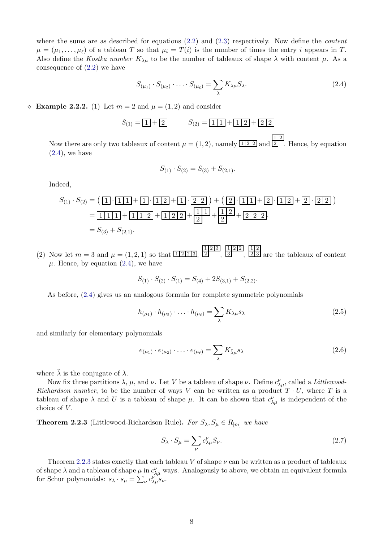where the sums are as described for equations [\(2.2\)](#page-6-2) and [\(2.3\)](#page-6-3) respectively. Now define the *content*  $\mu = (\mu_1, \ldots, \mu_\ell)$  of a tableau T so that  $\mu_i = T(i)$  is the number of times the entry i appears in T. Also define the *Kostka number*  $K_{\lambda\mu}$  to be the number of tableaux of shape  $\lambda$  with content  $\mu$ . As a consequence of [\(2.2\)](#page-6-2) we have

<span id="page-7-0"></span>
$$
S_{(\mu_1)} \cdot S_{(\mu_2)} \cdot \ldots \cdot S_{(\mu_\ell)} = \sum_{\lambda} K_{\lambda \mu} S_{\lambda}.
$$
 (2.4)

 $\Diamond$  **Example 2.2.2.** (1) Let  $m = 2$  and  $\mu = (1, 2)$  and consider

$$
S_{(1)} = \boxed{1} + \boxed{2}
$$
  $S_{(2)} = \boxed{1} \boxed{1} + \boxed{1} \boxed{2} + \boxed{2} \boxed{2}$ 

Now there are only two tableaux of content  $\mu = (1, 2)$ , namely  $\lfloor \frac{1}{2} \rfloor$  and 1 2 2 . Hence, by equation  $(2.4)$ , we have

$$
S_{(1)} \cdot S_{(2)} = S_{(3)} + S_{(2,1)}.
$$

Indeed,

$$
S_{(1)} \cdot S_{(2)} = (\boxed{1} \cdot \boxed{1 \cdot 1} + \boxed{1} \cdot \boxed{1 \cdot 2} + \boxed{1} \cdot \boxed{2 \cdot 2} + (\boxed{2} \cdot \boxed{1 \cdot 1} + \boxed{2} \cdot \boxed{1 \cdot 2} + \boxed{2} \cdot \boxed{2 \cdot 2})
$$
  
= 
$$
\boxed{1 \cdot 1 \cdot 1} + \boxed{1 \cdot 1 \cdot 2} + \boxed{1 \cdot 2 \cdot 2} + \boxed{\frac{1 \cdot 1}{2}} + \boxed{2 \cdot 2} + \boxed{2 \cdot 2 \cdot 2}.
$$
  
= 
$$
S_{(3)} + S_{(2,1)}.
$$

(2) Now let  $m = 3$  and  $\mu = (1, 2, 1)$  so that  $\boxed{1 \, 2 \, 1 \, 3}$ 1 2 3 2 , 1 2 2 3 , 1 2  $2|3|$  are the tableaux of content  $\mu$ . Hence, by equation [\(2.4\)](#page-7-0), we have

$$
S_{(1)} \cdot S_{(2)} \cdot S_{(1)} = S_{(4)} + 2S_{(3,1)} + S_{(2,2)}.
$$

As before, [\(2.4\)](#page-7-0) gives us an analogous formula for complete symmetric polynomials

<span id="page-7-2"></span>
$$
h_{(\mu_1)} \cdot h_{(\mu_2)} \cdot \ldots \cdot h_{(\mu_\ell)} = \sum_{\lambda} K_{\lambda \mu} s_{\lambda} \tag{2.5}
$$

and similarly for elementary polynomials

<span id="page-7-3"></span>
$$
e_{(\mu_1)} \cdot e_{(\mu_2)} \cdot \ldots \cdot e_{(\mu_\ell)} = \sum_{\lambda} K_{\tilde{\lambda}\mu} s_{\lambda} \tag{2.6}
$$

where  $\lambda$  is the conjugate of  $\lambda$ .

Now fix three partitions  $\lambda$ ,  $\mu$ , and  $\nu$ . Let V be a tableau of shape  $\nu$ . Define  $c_{\lambda\mu}^{\nu}$ , called a *Littlewood*-*Richardson number*, to be the number of ways V can be written as a product  $T \cdot U$ , where T is a tableau of shape  $\lambda$  and U is a tableau of shape  $\mu$ . It can be shown that  $c_{\lambda\mu}^{\nu}$  is independent of the choice of  $V$ .

<span id="page-7-1"></span>**Theorem 2.2.3** (Littlewood-Richardson Rule). *For*  $S_{\lambda}, S_{\mu} \in R_{[m]}$  *we have* 

<span id="page-7-4"></span>
$$
S_{\lambda} \cdot S_{\mu} = \sum_{\nu} c_{\lambda \mu}^{\nu} S_{\nu}.
$$
 (2.7)

Theorem [2.2.3](#page-7-1) states exactly that each tableau V of shape  $\nu$  can be written as a product of tableaux of shape  $\lambda$  and a tableau of shape  $\mu$  in  $c_{\lambda\mu}^{\nu}$  ways. Analogously to above, we obtain an equivalent formula for Schur polynomials:  $s_{\lambda} \cdot s_{\mu} = \sum_{\nu} c_{\lambda \mu}^{\nu} s_{\nu}$ .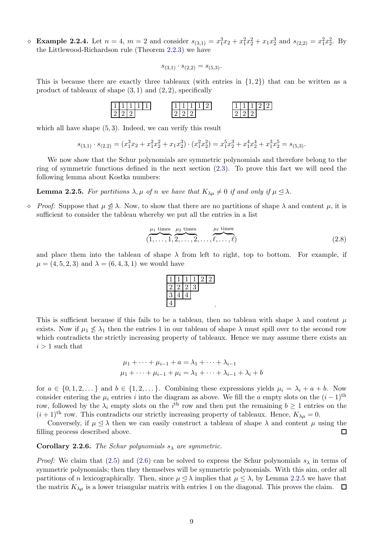$\infty$  Example 2.2.4. Let  $n = 4$ ,  $m = 2$  and consider  $s_{(3,1)} = x_1^3 x_2 + x_1^2 x_2^2 + x_1 x_2^3$  and  $s_{(2,2)} = x_1^2 x_2^2$ . By the Littlewood-Richardson rule (Theorem [2.2.3\)](#page-7-1) we have

$$
s_{(3,1)} \cdot s_{(2,2)} = s_{(5,3)}.
$$

This is because there are exactly three tableaux (with entries in  $\{1, 2\}$ ) that can be written as a product of tableaux of shape  $(3,1)$  and  $(2,2)$ , specifically

1 1 1 1 1 2 2 2 1 1 1 1 2 2 2 2 1 1 1 2 2 2 2 2

which all have shape  $(5, 3)$ . Indeed, we can verify this result

$$
s_{(3,1)} \cdot s_{(2,2)} = (x_1^3 x_2 + x_1^2 x_2^2 + x_1 x_2^3) \cdot (x_1^2 x_2^2) = x_1^5 x_2^3 + x_1^4 x_2^4 + x_1^3 x_2^5 = s_{(5,3)}.
$$

We now show that the Schur polynomials are symmetric polynomials and therefore belong to the ring of symmetric functions defined in the next section [\(2.3\)](#page-9-0). To prove this fact we will need the following lemma about Kostka numbers:

<span id="page-8-1"></span>**Lemma 2.2.5.** *For partitions*  $\lambda, \mu$  *of n we have that*  $K_{\lambda\mu} \neq 0$  *if and only if*  $\mu \leq \lambda$ *.* 

 $\Diamond$  *Proof:* Suppose that  $\mu \not\triangleleft \lambda$ . Now, to show that there are no partitions of shape  $\lambda$  and content  $\mu$ , it is sufficient to consider the tableau whereby we put all the entries in a list

$$
\overbrace{(1,\ldots,1}^{\mu_1 \text{ times}},\overbrace{2,\ldots,2}^{\mu_2 \text{ times}},\ldots,\overbrace{\ell,\ldots,\ell}^{\mu_\ell \text{ times}})
$$
\n
$$
(2.8)
$$

and place them into the tableau of shape  $\lambda$  from left to right, top to bottom. For example, if  $\mu = (4, 5, 2, 3)$  and  $\lambda = (6, 4, 3, 1)$  we would have



This is sufficient because if this fails to be a tableau, then no tableau with shape  $\lambda$  and content  $\mu$ exists. Now if  $\mu_1 \nleq \lambda_1$  then the entries 1 in our tableau of shape  $\lambda$  must spill over to the second row which contradicts the strictly increasing property of tableaux. Hence we may assume there exists an  $i > 1$  such that

$$
\mu_1 + \dots + \mu_{i-1} + a = \lambda_1 + \dots + \lambda_{i-1} \n\mu_1 + \dots + \mu_{i-1} + \mu_i = \lambda_1 + \dots + \lambda_{i-1} + \lambda_i + b
$$

for  $a \in \{0, 1, 2, \dots\}$  and  $b \in \{1, 2, \dots\}$ . Combining these expressions yields  $\mu_i = \lambda_i + a + b$ . Now consider entering the  $\mu_i$  entries i into the diagram as above. We fill the a empty slots on the  $(i-1)$ <sup>th</sup> row, followed by the  $\lambda_i$  empty slots on the i<sup>th</sup> row and then put the remaining  $b \ge 1$  entries on the  $(i+1)$ <sup>th</sup> row. This contradicts our strictly increasing property of tableaux. Hence,  $K_{\lambda\mu}=0$ .

Conversely, if  $\mu \leq \lambda$  then we can easily construct a tableau of shape  $\lambda$  and content  $\mu$  using the filling process described above.  $\Box$ 

<span id="page-8-0"></span>**Corollary 2.2.6.** *The Schur polynomials*  $s_{\lambda}$  *are symmetric.* 

*Proof:* We claim that [\(2.5\)](#page-7-2) and [\(2.6\)](#page-7-3) can be solved to express the Schur polynomials  $s_\lambda$  in terms of symmetric polynomials; then they themselves will be symmetric polynomials. With this aim, order all partitions of n lexicographically. Then, since  $\mu \leq \lambda$  implies that  $\mu \leq \lambda$ , by Lemma [2.2.5](#page-8-1) we have that the matrix  $K_{\lambda\mu}$  is a lower triangular matrix with entries 1 on the diagonal. This proves the claim.  $\Box$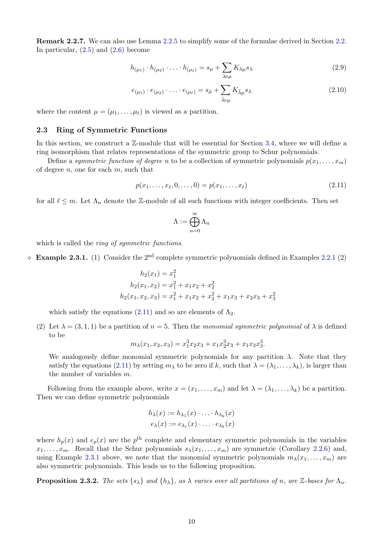Remark 2.2.7. We can also use Lemma [2.2.5](#page-8-1) to simplify some of the formulae derived in Section [2.2.](#page-6-0) In particular,  $(2.5)$  and  $(2.6)$  become

<span id="page-9-2"></span>
$$
h_{(\mu_1)} \cdot h_{(\mu_2)} \cdot \ldots \cdot h_{(\mu_\ell)} = s_\mu + \sum_{\lambda \triangleright \mu} K_{\lambda \mu} s_\lambda \tag{2.9}
$$

<span id="page-9-3"></span>
$$
e_{(\mu_1)} \cdot e_{(\mu_2)} \cdot \ldots \cdot e_{(\mu_\ell)} = s_{\tilde{\mu}} + \sum_{\tilde{\lambda} \in \mu} K_{\tilde{\lambda}\mu} s_{\lambda}
$$
\n(2.10)

where the content  $\mu = (\mu_1, \dots, \mu_\ell)$  is viewed as a partition.

### <span id="page-9-0"></span>2.3 Ring of Symmetric Functions

In this section, we construct a  $\mathbb{Z}$ -module that will be essential for Section [3.4,](#page-16-0) where we will define a ring isomorphism that relates representations of the symmetric group to Schur polynomials.

Define a *symmetric function of degree* n to be a collection of symmetric polynomials  $p(x_1, \ldots, x_m)$ of degree  $n$ , one for each  $m$ , such that

<span id="page-9-1"></span>
$$
p(x_1, ..., x_\ell, 0, ..., 0) = p(x_1, ..., x_\ell)
$$
\n(2.11)

for all  $\ell \leq m$ . Let  $\Lambda_n$  denote the Z-module of all such functions with integer coefficients. Then set

$$
\Lambda:=\bigoplus_{n=0}^\infty \Lambda_n
$$

which is called the *ring of symmetric functions*.

 $\Diamond$  **Example 2.3.1.** (1) Consider the 2<sup>nd</sup> complete symmetric polynomials defined in Examples 2.2.1 (2)

$$
h_2(x_1) = x_1^2
$$
  
\n
$$
h_2(x_1, x_2) = x_1^2 + x_1x_2 + x_2^2
$$
  
\n
$$
h_2(x_1, x_2, x_3) = x_1^2 + x_1x_2 + x_2^2 + x_1x_3 + x_2x_3 + x_3^2
$$

which satisfy the equations [\(2.11\)](#page-9-1) and so are elements of  $\Lambda_2$ .

(2) Let  $\lambda = (3, 1, 1)$  be a partition of  $n = 5$ . Then the *monomial symmetric polynomial* of  $\lambda$  is defined to be

$$
m_{\lambda}(x_1, x_2, x_3) = x_1^3 x_2 x_3 + x_1 x_2^3 x_3 + x_1 x_2 x_3^3.
$$

We analogously define monomial symmetric polynomials for any partition  $\lambda$ . Note that they satisfy the equations [\(2.11\)](#page-9-1) by setting  $m_\lambda$  to be zero if k, such that  $\lambda = (\lambda_1, \ldots, \lambda_k)$ , is larger than the number of variables m.

Following from the example above, write  $x = (x_1, \ldots, x_m)$  and let  $\lambda = (\lambda_1, \ldots, \lambda_k)$  be a partition. Then we can define symmetric polynomials

$$
h_{\lambda}(x) := h_{\lambda_1}(x) \cdot \ldots \cdot h_{\lambda_k}(x)
$$
  

$$
e_{\lambda}(x) := e_{\lambda_1}(x) \cdot \ldots \cdot e_{\lambda_k}(x)
$$

where  $h_p(x)$  and  $e_p(x)$  are the  $p<sup>th</sup>$  complete and elementary symmetric polynomials in the variables  $x_1, \ldots, x_m$ . Recall that the Schur polynomials  $s_\lambda(x_1, \ldots, x_m)$  are symmetric (Corollary [2.2.6\)](#page-8-0) and, using Example 2.3.1 above, we note that the monomial symmetric polynomials  $m_{\lambda}(x_1, \ldots, x_m)$  are also symmetric polynomials. This leads us to the following proposition.

<span id="page-9-4"></span>**Proposition 2.3.2.** *The sets*  $\{s_{\lambda}\}\$  *and*  $\{h_{\lambda}\}\$ *, as*  $\lambda$  *varies over all partitions of n, are* Z-bases for  $\Lambda_n$ *.*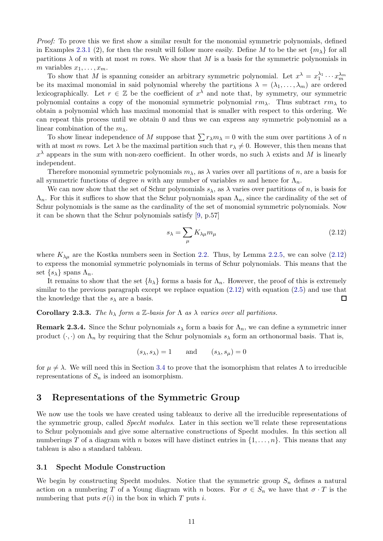*Proof:* To prove this we first show a similar result for the monomial symmetric polynomials, defined in Examples 2.3.1 (2), for then the result will follow more easily. Define M to be the set  $\{m_{\lambda}\}\$ for all partitions  $\lambda$  of n with at most m rows. We show that M is a basis for the symmetric polynomials in m variables  $x_1, \ldots, x_m$ .

To show that M is spanning consider an arbitrary symmetric polynomial. Let  $x^{\lambda} = x_1^{\lambda_1} \cdots x_m^{\lambda_m}$ be its maximal monomial in said polynomial whereby the partitions  $\lambda = (\lambda_1, \dots, \lambda_m)$  are ordered lexicographically. Let  $r \in \mathbb{Z}$  be the coefficient of  $x^{\lambda}$  and note that, by symmetry, our symmetric polynomial contains a copy of the monomial symmetric polynomial  $rm_\lambda$ . Thus subtract  $rm_\lambda$  to obtain a polynomial which has maximal monomial that is smaller with respect to this ordering. We can repeat this process until we obtain 0 and thus we can express any symmetric polynomial as a linear combination of the  $m_{\lambda}$ .

To show linear independence of M suppose that  $\sum r_{\lambda} m_{\lambda} = 0$  with the sum over partitions  $\lambda$  of n with at most m rows. Let  $\lambda$  be the maximal partition such that  $r_{\lambda} \neq 0$ . However, this then means that  $x^{\lambda}$  appears in the sum with non-zero coefficient. In other words, no such  $\lambda$  exists and M is linearly independent.

Therefore monomial symmetric polynomials  $m<sub>\lambda</sub>$ , as  $\lambda$  varies over all partitions of n, are a basis for all symmetric functions of degree n with any number of variables m and hence for  $\Lambda_n$ .

We can now show that the set of Schur polynomials  $s_\lambda$ , as  $\lambda$  varies over partitions of n, is basis for  $\Lambda_n$ . For this it suffices to show that the Schur polynomials span  $\Lambda_n$ , since the cardinality of the set of Schur polynomials is the same as the cardinality of the set of monomial symmetric polynomials. Now it can be shown that the Schur polynomials satisfy [\[9,](#page-40-1) p.57]

<span id="page-10-2"></span>
$$
s_{\lambda} = \sum_{\mu} K_{\lambda\mu} m_{\mu} \tag{2.12}
$$

where  $K_{\lambda\mu}$  are the Kostka numbers seen in Section [2.2.](#page-6-0) Thus, by Lemma [2.2.5,](#page-8-1) we can solve [\(2.12\)](#page-10-2) to express the monomial symmetric polynomials in terms of Schur polynomials. This means that the set  $\{s_\lambda\}$  spans  $\Lambda_n$ .

It remains to show that the set  $\{h_{\lambda}\}\$ forms a basis for  $\Lambda_n$ . However, the proof of this is extremely similar to the previous paragraph except we replace equation  $(2.12)$  with equation  $(2.5)$  and use that the knowledge that the  $s_{\lambda}$  are a basis.  $\Box$ 

<span id="page-10-3"></span>Corollary 2.3.3. *The*  $h_{\lambda}$  *form a* Z-basis for  $\Lambda$  *as*  $\lambda$  *varies over all partitions.* 

<span id="page-10-4"></span>**Remark 2.3.4.** Since the Schur polynomials  $s_\lambda$  form a basis for  $\Lambda_n$ , we can define a symmetric inner product  $(\cdot, \cdot)$  on  $\Lambda_n$  by requiring that the Schur polynomials  $s_\lambda$  form an orthonormal basis. That is,

$$
(s_{\lambda}, s_{\lambda}) = 1
$$
 and  $(s_{\lambda}, s_{\mu}) = 0$ 

for  $\mu \neq \lambda$ . We will need this in Section [3.4](#page-16-0) to prove that the isomorphism that relates  $\Lambda$  to irreducible representations of  $S_n$  is indeed an isomorphism.

## <span id="page-10-0"></span>3 Representations of the Symmetric Group

We now use the tools we have created using tableaux to derive all the irreducible representations of the symmetric group, called *Specht modules*. Later in this section we'll relate these representations to Schur polynomials and give some alternative constructions of Specht modules. In this section all numberings T of a diagram with n boxes will have distinct entries in  $\{1, \ldots, n\}$ . This means that any tableau is also a standard tableau.

#### <span id="page-10-1"></span>3.1 Specht Module Construction

We begin by constructing Specht modules. Notice that the symmetric group  $S_n$  defines a natural action on a numbering T of a Young diagram with n boxes. For  $\sigma \in S_n$  we have that  $\sigma \cdot T$  is the numbering that puts  $\sigma(i)$  in the box in which T puts i.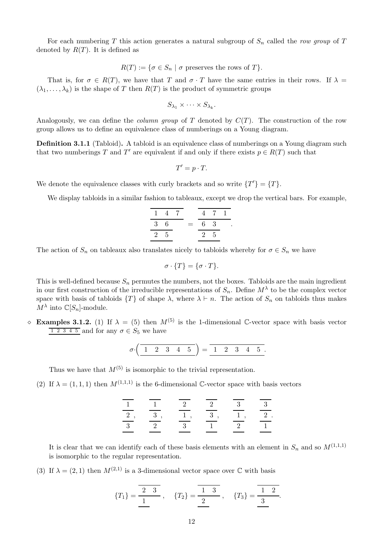For each numbering T this action generates a natural subgroup of  $S_n$  called the *row group* of T denoted by  $R(T)$ . It is defined as

$$
R(T) := \{ \sigma \in S_n \mid \sigma \text{ preserves the rows of } T \}.
$$

That is, for  $\sigma \in R(T)$ , we have that T and  $\sigma \cdot T$  have the same entries in their rows. If  $\lambda =$  $(\lambda_1, \ldots, \lambda_k)$  is the shape of T then  $R(T)$  is the product of symmetric groups

$$
S_{\lambda_1}\times\cdots\times S_{\lambda_k}
$$

.

Analogously, we can define the *column group* of T denoted by C(T). The construction of the row group allows us to define an equivalence class of numberings on a Young diagram.

Definition 3.1.1 (Tabloid). A tabloid is an equivalence class of numberings on a Young diagram such that two numberings T and T' are equivalent if and only if there exists  $p \in R(T)$  such that

$$
T'=p\cdot T.
$$

We denote the equivalence classes with curly brackets and so write  $\{T'\} = \{T\}.$ 

We display tabloids in a similar fashion to tableaux, except we drop the vertical bars. For example,

$$
\frac{1}{3} \frac{4}{6} \frac{7}{2} = \frac{4}{6} \frac{7}{3} \frac{1}{2 \cdot 5}.
$$

The action of  $S_n$  on tableaux also translates nicely to tabloids whereby for  $\sigma \in S_n$  we have

$$
\sigma \cdot \{T\} = \{\sigma \cdot T\}.
$$

This is well-defined because  $S_n$  permutes the numbers, not the boxes. Tabloids are the main ingredient in our first construction of the irreducible representations of  $S_n$ . Define  $M^{\lambda}$  to be the complex vector space with basis of tabloids  $\{T\}$  of shape  $\lambda$ , where  $\lambda \vdash n$ . The action of  $S_n$  on tabloids thus makes  $M^{\lambda}$  into  $\mathbb{C}[S_n]$ -module.

 $\Diamond$  **Examples 3.1.2.** (1) If  $\lambda = (5)$  then  $M^{(5)}$  is the 1-dimensional C-vector space with basis vector  $\boxed{1\ 2\ 3\ 4\ 5}$  and for any  $\sigma \in S_5$  we have

$$
\sigma \cdot \left( \begin{array}{cccc} 1 & 2 & 3 & 4 & 5 \end{array} \right) = \begin{array}{cccc} 1 & 2 & 3 & 4 & 5 \end{array}.
$$

Thus we have that  $M^{(5)}$  is isomorphic to the trivial representation.

(2) If  $\lambda = (1, 1, 1)$  then  $M^{(1,1,1)}$  is the 6-dimensional C-vector space with basis vectors

|           |   |   | റ |  |
|-----------|---|---|---|--|
|           | 2 |   |   |  |
| $\cdot$ ? |   | റ |   |  |

It is clear that we can identify each of these basis elements with an element in  $S_n$  and so  $M^{(1,1,1)}$ is isomorphic to the regular representation.

(3) If  $\lambda = (2, 1)$  then  $M^{(2,1)}$  is a 3-dimensional vector space over C with basis

$$
\{T_1\}=\frac{\overline{2 \ 3}}{\underline{1}}, \quad \{T_2\}=\frac{\overline{1 \ 3}}{\underline{2}}, \quad \{T_3\}=\frac{\overline{1 \ 2}}{\underline{3}}.
$$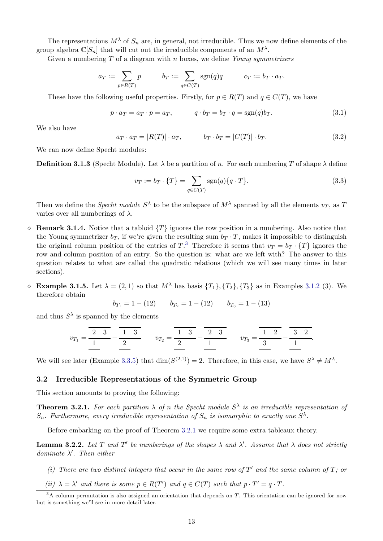The representations  $M^{\lambda}$  of  $S_n$  are, in general, not irreducible. Thus we now define elements of the group algebra  $\mathbb{C}[S_n]$  that will cut out the irreducible components of an  $M^{\lambda}$ .

Given a numbering T of a diagram with n boxes, we define *Young symmetrizers*

$$
a_T := \sum_{p \in R(T)} p \qquad b_T := \sum_{q \in C(T)} \text{sgn}(q)q \qquad c_T := b_T \cdot a_T.
$$

These have the following useful properties. Firstly, for  $p \in R(T)$  and  $q \in C(T)$ , we have

<span id="page-12-4"></span>
$$
p \cdot a_T = a_T \cdot p = a_T, \qquad q \cdot b_T = b_T \cdot q = \text{sgn}(q)b_T. \tag{3.1}
$$

We also have

$$
a_T \cdot a_T = |R(T)| \cdot a_T, \qquad b_T \cdot b_T = |C(T)| \cdot b_T. \tag{3.2}
$$

We can now define Specht modules:

**Definition 3.1.3** (Specht Module). Let  $\lambda$  be a partition of n. For each numbering T of shape  $\lambda$  define

<span id="page-12-6"></span>
$$
v_T := b_T \cdot \{T\} = \sum_{q \in C(T)} \text{sgn}(q) \{q \cdot T\}.
$$
\n(3.3)

Then we define the *Specht module*  $S^{\lambda}$  to be the subspace of  $M^{\lambda}$  spanned by all the elements  $v_T$ , as T varies over all numberings of  $\lambda$ .

- $\Diamond$  Remark 3.1.4. Notice that a tabloid  $\{T\}$  ignores the row position in a numbering. Also notice that the Young symmetrizer  $b_T$ , if we're given the resulting sum  $b_T \cdot T$ , makes it impossible to distinguish the original column position of the entries of  $T$ <sup>[3](#page-12-1)</sup>. Therefore it seems that  $v_T = b_T \cdot \{T\}$  ignores the row and column position of an entry. So the question is: what are we left with? The answer to this question relates to what are called the quadratic relations (which we will see many times in later sections).
- <span id="page-12-5"></span> $\Diamond$  Example 3.1.5. Let  $\lambda = (2, 1)$  so that  $M^{\lambda}$  has basis  $\{T_1\}$ ,  $\{T_2\}$ ,  $\{T_3\}$  as in Examples 3.1.2 (3). We therefore obtain

$$
b_{T_1} = 1 - (12) \qquad b_{T_2} = 1 - (12) \qquad b_{T_3} = 1 - (13)
$$

and thus  $S^{\lambda}$  is spanned by the elements

$$
v_{T_1} = \overline{\frac{2}{1} \cdot \frac{3}{2}} - \overline{\frac{1}{2} \cdot \frac{3}{2}} \qquad v_{T_2} = \overline{\frac{1}{2} \cdot \frac{3}{2}} - \overline{\frac{2}{1} \cdot \frac{3}{2}} \qquad v_{T_3} = \overline{\frac{1}{3} \cdot \frac{2}{2}} - \overline{\frac{3}{1} \cdot \frac{2}{2}}.
$$

We will see later (Example [3.3.5\)](#page-15-1) that  $\dim(S^{(2,1)}) = 2$ . Therefore, in this case, we have  $S^{\lambda} \neq M^{\lambda}$ .

#### <span id="page-12-0"></span>3.2 Irreducible Representations of the Symmetric Group

This section amounts to proving the following:

<span id="page-12-2"></span>**Theorem 3.2.1.** For each partition  $\lambda$  of n the Specht module  $S^{\lambda}$  is an irreducible representation of  $S_n$ . Furthermore, every irreducible representation of  $S_n$  is isomorphic to exactly one  $S^{\lambda}$ .

Before embarking on the proof of Theorem [3.2.1](#page-12-2) we require some extra tableaux theory.

<span id="page-12-3"></span>**Lemma 3.2.2.** Let T and T' be numberings of the shapes  $\lambda$  and  $\lambda'$ . Assume that  $\lambda$  does not strictly *dominate* λ ′ *. Then either*

- (*i*) There are two distinct integers that occur in the same row of  $T'$  and the same column of  $T$ ; or
- (*ii*)  $\lambda = \lambda'$  *and there is some*  $p \in R(T')$  *and*  $q \in C(T)$  *such that*  $p \cdot T' = q \cdot T$ *.*

<span id="page-12-1"></span> $3A$  column permutation is also assigned an orientation that depends on T. This orientation can be ignored for now but is something we'll see in more detail later.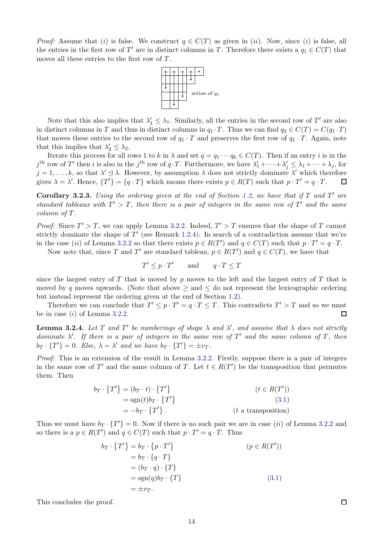*Proof:* Assume that (i) is false. We construct  $q \in C(T)$  as given in (ii). Now, since (i) is false, all the entries in the first row of T' are in distinct columns in T. Therefore there exists a  $q_1 \in C(T)$  that moves all these entries to the first row of T.



Note that this also implies that  $\lambda'_1 \leq \lambda_1$ . Similarly, all the entries in the second row of T' are also in distinct columns in T and thus in distinct columns in  $q_1 \cdot T$ . Thus we can find  $q_2 \in C(T) = C(q_1 \cdot T)$ that moves these entries to the second row of  $q_1 \cdot T$  and preserves the first row of  $q_1 \cdot T$ . Again, note that this implies that  $\lambda'_2 \leq \lambda_2$ .

Iterate this process for all rows 1 to k in  $\lambda$  and set  $q = q_1 \cdots q_k \in C(T)$ . Then if an entry i is in the  $j^{\text{th}}$  row of T' then i is also in the  $j^{\text{th}}$  row of  $q \cdot T$ . Furthermore, we have  $\lambda'_1 + \cdots + \lambda'_j \leq \lambda_1 + \cdots + \lambda_j$ , for  $j = 1, \ldots, k$ , so that  $\lambda' \leq \lambda$ . However, by assumption  $\lambda$  does not strictly dominate  $\lambda'$  which therefore gives  $\lambda = \lambda'$ . Hence,  $\{T'\} = \{q \cdot T\}$  which means there exists  $p \in R(T)$  such that  $p \cdot T' = q \cdot T$ .

<span id="page-13-0"></span>Corollary 3.2.3. *Using the ordering given at the end of Section [1.2,](#page-3-2) we have that if* T *and* T ′ *are standard tableaux with*  $T' > T$ , then there is a pair of integers in the same row of  $T'$  and the same *column of* T*.*

*Proof:* Since  $T' > T$ , we can apply Lemma [3.2.2.](#page-12-3) Indeed,  $T' > T$  ensures that the shape of T cannot strictly dominate the shape of  $T'$  (see Remark [1.2.4\)](#page-4-2). In search of a contradiction assume that we're in the case (ii) of Lemma [3.2.2](#page-12-3) so that there exists  $p \in R(T')$  and  $q \in C(T)$  such that  $p \cdot T' = q \cdot T$ .

Now note that, since T and T' are standard tableau,  $p \in R(T')$  and  $q \in C(T)$ , we have that

$$
T' \le p \cdot T' \qquad \text{and} \qquad q \cdot T \le T
$$

since the largest entry of T that is moved by p moves to the left and the largest entry of T that is moved by q moves upwards. (Note that above  $\geq$  and  $\leq$  do not represent the lexicographic ordering but instead represent the ordering given at the end of Section [1.2\)](#page-3-2).

Therefore we can conclude that  $T' \leq p \cdot T' = q \cdot T \leq T$ . This contradicts  $T' > T$  and so we must be in case  $(i)$  of Lemma [3.2.2.](#page-12-3)  $\Box$ 

<span id="page-13-1"></span>**Lemma 3.2.4.** Let T and T' be numberings of shape  $\lambda$  and  $\lambda'$ , and assume that  $\lambda$  does not strictly *dominate* λ ′ *. If there is a pair of integers in the same row of* T ′ *and the same column of* T*, then*  $b_T \cdot \{T'\} = 0$ *. Else,*  $\lambda = \lambda'$  and we have  $b_T \cdot \{T'\} = \pm v_T$ *.* 

*Proof:* This is an extension of the result in Lemma [3.2.2.](#page-12-3) Firstly, suppose there is a pair of integers in the same row of T' and the same column of T. Let  $t \in R(T')$  be the transposition that permutes them. Then

$$
b_T \cdot \{T'\} = (b_T \cdot t) \cdot \{T'\}
$$
  
= sgn(t) b\_T \cdot \{T'\}  
= -b\_T \cdot \{T'\}. \t\t (t a transposition)

Thus we must have  $b_T \cdot \{T'\} = 0$ . Now if there is no such pair we are in case (*ii*) of Lemma [3.2.2](#page-12-3) and so there is a  $p \in R(T')$  and  $q \in C(T)$  such that  $p \cdot T' = q \cdot T$ . Thus

$$
b_T \cdot \{T'\} = b_T \cdot \{p \cdot T'\}
$$
  
\n
$$
= b_T \cdot \{q \cdot T\}
$$
  
\n
$$
= (b_T \cdot q) \cdot \{T\}
$$
  
\n
$$
= \text{sgn}(q)b_T \cdot \{T\}
$$
  
\n
$$
= \pm v_T.
$$
  
\n(3.1)

This concludes the proof.

 $\Box$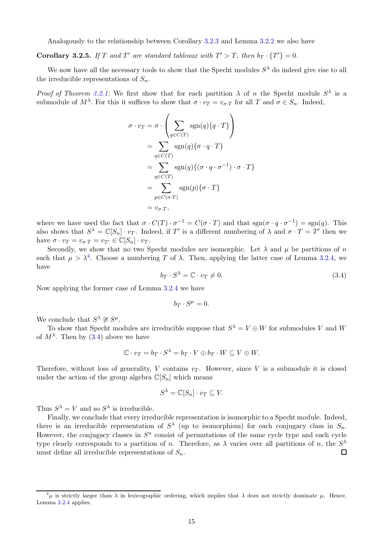Analogously to the relationship between Corollary [3.2.3](#page-13-0) and Lemma [3.2.2](#page-12-3) we also have

**Corollary 3.2.5.** If T and T' are standard tableaux with  $T' > T$ , then  $b_T \cdot \{T'\} = 0$ .

We now have all the necessary tools to show that the Specht modules  $S^{\lambda}$  do indeed give rise to all the irreducible representations of  $S_n$ .

*Proof of Theorem [3.2.1:](#page-12-2)* We first show that for each partition  $\lambda$  of n the Specht module  $S^{\lambda}$  is a submodule of  $M^{\lambda}$ . For this it suffices to show that  $\sigma \cdot v_T = v_{\sigma \cdot T}$  for all T and  $\sigma \in S_n$ . Indeed,

$$
\sigma \cdot v_T = \sigma \cdot \left( \sum_{q \in C(T)} \text{sgn}(q) \{q \cdot T\} \right)
$$
  
= 
$$
\sum_{q \in C(T)} \text{sgn}(q) \{ \sigma \cdot q \cdot T\}
$$
  
= 
$$
\sum_{q \in C(T)} \text{sgn}(q) \{ (\sigma \cdot q \cdot \sigma^{-1}) \cdot \sigma \cdot T\}
$$
  
= 
$$
\sum_{p \in C(\sigma \cdot T)} \text{sgn}(p) \{ \sigma \cdot T\}
$$
  
= 
$$
v_{\sigma \cdot T},
$$

where we have used the fact that  $\sigma \cdot C(T) \cdot \sigma^{-1} = C(\sigma \cdot T)$  and that  $sgn(\sigma \cdot q \cdot \sigma^{-1}) = sgn(q)$ . This also shows that  $S^{\lambda} = \mathbb{C}[S_n] \cdot v_T$ . Indeed, if T' is a different numbering of  $\lambda$  and  $\sigma \cdot T = T'$  then we have  $\sigma \cdot v_T = v_{\sigma \cdot T} = v_{T'} \in \mathbb{C}[S_n] \cdot v_T$ .

Secondly, we show that no two Specht modules are isomorphic. Let  $\lambda$  and  $\mu$  be partitions of n such that  $\mu > \lambda^4$  $\mu > \lambda^4$ . Choose a numbering T of  $\lambda$ . Then, applying the latter case of Lemma [3.2.4,](#page-13-1) we have

<span id="page-14-1"></span>
$$
b_T \cdot S^\lambda = \mathbb{C} \cdot v_T \neq 0. \tag{3.4}
$$

Now applying the former case of Lemma [3.2.4](#page-13-1) we have

$$
b_T\cdot S^\mu=0.
$$

We conclude that  $S^{\lambda} \not\cong S^{\mu}$ .

To show that Specht modules are irreducible suppose that  $S^{\lambda} = V \oplus W$  for submodules V and W of  $M^{\lambda}$ . Then by [\(3.4\)](#page-14-1) above we have

$$
\mathbb{C} \cdot v_T = b_T \cdot S^{\lambda} = b_T \cdot V \oplus b_T \cdot W \subseteq V \oplus W.
$$

Therefore, without loss of generality, V contains  $v_T$ . However, since V is a submodule it is closed under the action of the group algebra  $\mathbb{C}[S_n]$  which means

$$
S^{\lambda} = \mathbb{C}[S_n] \cdot v_T \subseteq V.
$$

Thus  $S^{\lambda} = V$  and so  $S^{\lambda}$  is irreducible.

Finally, we conclude that every irreducible representation is isomorphic to a Specht module. Indeed, there is an irreducible representation of  $S^{\lambda}$  (up to isomorphism) for each conjugacy class in  $S_n$ . However, the conjugacy classes in  $S<sup>n</sup>$  consist of permutations of the same cycle type and each cycle type clearly corresponds to a partition of *n*. Therefore, as  $\lambda$  varies over all partitions of *n*, the  $S^{\lambda}$ must define all irreducible representations of  $S_n$ .  $\Box$ 

<span id="page-14-0"></span> $^{4}\mu$  is strictly larger than  $\lambda$  in lexicographic ordering, which implies that  $\lambda$  does not strictly dominate  $\mu$ . Hence, Lemma [3.2.4](#page-13-1) applies.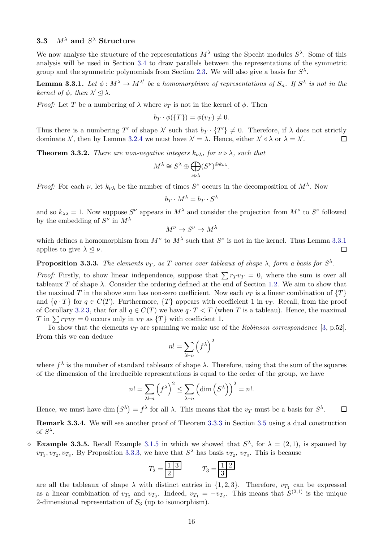# <span id="page-15-0"></span>**3.3**  $M^{\lambda}$  and  $S^{\lambda}$  Structure

We now analyse the structure of the representations  $M^{\lambda}$  using the Specht modules  $S^{\lambda}$ . Some of this analysis will be used in Section [3.4](#page-16-0) to draw parallels between the representations of the symmetric group and the symmetric polynomials from Section [2.3.](#page-9-0) We will also give a basis for  $S^{\lambda}$ .

<span id="page-15-2"></span>**Lemma 3.3.1.** Let  $\phi : M^{\lambda} \to M^{\lambda'}$  be a homomorphism of representations of  $S_n$ . If  $S^{\lambda}$  is not in the *kernel of*  $\phi$ *, then*  $\lambda' \leq \lambda$ .

*Proof:* Let T be a numbering of  $\lambda$  where  $v_T$  is not in the kernel of  $\phi$ . Then

$$
b_T \cdot \phi(\{T\}) = \phi(v_T) \neq 0.
$$

Thus there is a numbering T' of shape  $\lambda'$  such that  $b_T \cdot \{T'\} \neq 0$ . Therefore, if  $\lambda$  does not strictly dominate  $\lambda'$ , then by Lemma [3.2.4](#page-13-1) we must have  $\lambda' = \lambda$ . Hence, either  $\lambda' \triangleleft \lambda$  or  $\lambda = \lambda'$ .  $\Box$ 

**Theorem 3.3.2.** *There are non-negative integers*  $k_{\nu\lambda}$ *, for*  $\nu \triangleright \lambda$ *, such that* 

$$
M^{\lambda} \cong S^{\lambda} \oplus \bigoplus_{\nu \triangleright \lambda} (S^{\nu})^{\oplus k_{\nu \lambda}}.
$$

*Proof:* For each  $\nu$ , let  $k_{\nu\lambda}$  be the number of times  $S^{\nu}$  occurs in the decomposition of  $M^{\lambda}$ . Now

$$
b_T \cdot M^{\lambda} = b_T \cdot S^{\lambda}
$$

and so  $k_{\lambda\lambda} = 1$ . Now suppose  $S^{\nu}$  appears in  $M^{\lambda}$  and consider the projection from  $M^{\nu}$  to  $S^{\nu}$  followed by the embedding of  $S^{\nu}$  in  $M^{\lambda}$ 

$$
M^{\nu} \to S^{\nu} \to M^{\lambda}
$$

which defines a homomorphism from  $M^{\nu}$  to  $M^{\lambda}$  such that  $S^{\nu}$  is not in the kernel. Thus Lemma [3.3.1](#page-15-2) applies to give  $\lambda \leq \nu$ .  $\Box$ 

<span id="page-15-3"></span>**Proposition 3.3.3.** The elements  $v_T$ , as T varies over tableaux of shape  $\lambda$ , form a basis for  $S^{\lambda}$ .

*Proof:* Firstly, to show linear independence, suppose that  $\sum r_T v_T = 0$ , where the sum is over all tableaux T of shape  $\lambda$ . Consider the ordering defined at the end of Section [1.2.](#page-3-2) We aim to show that the maximal T in the above sum has non-zero coefficient. Now each  $v_T$  is a linear combination of  $\{T\}$ and  $\{q \cdot T\}$  for  $q \in C(T)$ . Furthermore,  $\{T\}$  appears with coefficient 1 in  $v_T$ . Recall, from the proof of Corollary [3.2.3,](#page-13-0) that for all  $q \in C(T)$  we have  $q \cdot T < T$  (when T is a tableau). Hence, the maximal T in  $\sum r_T v_T = 0$  occurs only in  $v_T$  as  $\{T\}$  with coefficient 1.

To show that the elements  $v_T$  are spanning we make use of the *Robinson correspondence* [\[3,](#page-40-0) p.52]. From this we can deduce

$$
n! = \sum_{\lambda \vdash n} \left( f^{\lambda} \right)^2
$$

where  $f^{\lambda}$  is the number of standard tableaux of shape  $\lambda$ . Therefore, using that the sum of the squares of the dimension of the irreducible representations is equal to the order of the group, we have

$$
n! = \sum_{\lambda \vdash n} \left( f^{\lambda} \right)^2 \le \sum_{\lambda \vdash n} \left( \dim \left( S^{\lambda} \right) \right)^2 = n!.
$$

 $\Box$ 

Hence, we must have dim  $(S^{\lambda}) = f^{\lambda}$  for all  $\lambda$ . This means that the  $v_T$  must be a basis for  $S^{\lambda}$ .

Remark 3.3.4. We will see another proof of Theorem [3.3.3](#page-15-3) in Section [3.5](#page-18-0) using a dual construction of  $S^{\lambda}$ .

<span id="page-15-1"></span> $\Diamond$  Example 3.3.5. Recall Example [3.1.5](#page-12-5) in which we showed that  $S^{\lambda}$ , for  $\lambda = (2,1)$ , is spanned by  $v_{T_1}, v_{T_2}, v_{T_3}$ . By Proposition [3.3.3,](#page-15-3) we have that  $S^{\lambda}$  has basis  $v_{T_2}, v_{T_3}$ . This is because

$$
T_2 = \boxed{\frac{1}{2}} \qquad \qquad T_3 = \boxed{\frac{1}{3}}
$$

are all the tableaux of shape  $\lambda$  with distinct entries in  $\{1, 2, 3\}$ . Therefore,  $v_{T_1}$  can be expressed as a linear combination of  $v_{T_2}$  and  $v_{T_3}$ . Indeed,  $v_{T_1} = -v_{T_2}$ . This means that  $S^{(2,1)}$  is the unique 2-dimensional representation of  $S_3$  (up to isomorphism).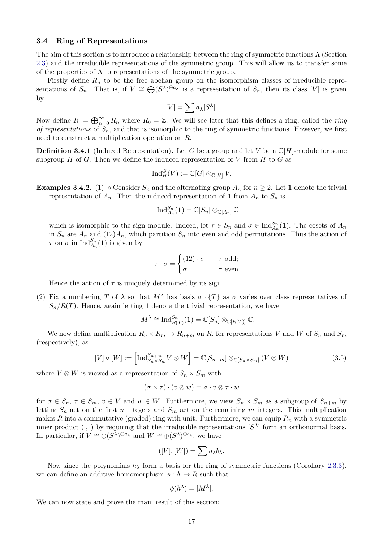#### <span id="page-16-0"></span>3.4 Ring of Representations

The aim of this section is to introduce a relationship between the ring of symmetric functions  $\Lambda$  (Section [2.3\)](#page-9-0) and the irreducible representations of the symmetric group. This will allow us to transfer some of the properties of  $\Lambda$  to representations of the symmetric group.

Firstly define  $R_n$  to be the free abelian group on the isomorphism classes of irreducible representations of  $S_n$ . That is, if  $V \cong \bigoplus (S^{\lambda})^{\oplus a_{\lambda}}$  is a representation of  $S_n$ , then its class [V] is given by

$$
[V] = \sum a_{\lambda} [S^{\lambda}].
$$

Now define  $R := \bigoplus_{n=0}^{\infty} R_n$  where  $R_0 = \mathbb{Z}$ . We will see later that this defines a ring, called the *ring of representations* of  $S_n$ , and that is isomorphic to the ring of symmetric functions. However, we first need to construct a multiplication operation on R.

**Definition 3.4.1** (Induced Representation). Let G be a group and let V be a  $\mathbb{C}[H]$ -module for some subgroup  $H$  of  $G$ . Then we define the induced representation of  $V$  from  $H$  to  $G$  as

$$
\operatorname{Ind}_{H}^{G}(V) := \mathbb{C}[G] \otimes_{\mathbb{C}[H]} V.
$$

**Examples 3.4.2.** (1)  $\circ$  Consider  $S_n$  and the alternating group  $A_n$  for  $n \geq 2$ . Let 1 denote the trivial representation of  $A_n$ . Then the induced representation of 1 from  $A_n$  to  $S_n$  is

$$
\mathop{\mathrm{Ind}}\nolimits_{A_n}^{S_n}(\mathbf{1})=\mathbb{C}[S_n]\otimes_{\mathbb{C}[A_n]} \mathbb{C}
$$

which is isomorphic to the sign module. Indeed, let  $\tau \in S_n$  and  $\sigma \in \text{Ind}_{A_n}^{S_n}(\mathbf{1})$ . The cosets of  $A_n$ in  $S_n$  are  $A_n$  and  $(12)A_n$ , which partition  $S_n$  into even and odd permutations. Thus the action of  $\tau$  on  $\sigma$  in  $\text{Ind}_{A_n}^{S_n}(\mathbf{1})$  is given by

$$
\tau \cdot \sigma = \begin{cases} (12) \cdot \sigma & \tau \text{ odd}; \\ \sigma & \tau \text{ even}. \end{cases}
$$

Hence the action of  $\tau$  is uniquely determined by its sign.

(2) Fix a numbering T of  $\lambda$  so that  $M^{\lambda}$  has basis  $\sigma \cdot \{T\}$  as  $\sigma$  varies over class representatives of  $S_n/R(T)$ . Hence, again letting 1 denote the trivial representation, we have

$$
M^{\lambda} \cong {\rm Ind}_{R(T)}^{S_n}(\mathbf{1}) = \mathbb{C}[S_n] \otimes_{\mathbb{C}[R(T)]} \mathbb{C}.
$$

We now define multiplication  $R_n \times R_m \to R_{n+m}$  on R, for representations V and W of  $S_n$  and  $S_m$ (respectively), as

<span id="page-16-1"></span>
$$
[V] \circ [W] := \left[ \operatorname{Ind}_{S_n \times S_m}^{S_{n+m}} V \otimes W \right] = \mathbb{C}[S_{n+m}] \otimes_{\mathbb{C}[S_n \times S_m]} (V \otimes W) \tag{3.5}
$$

where  $V \otimes W$  is viewed as a representation of  $S_n \times S_m$  with

$$
(\sigma \times \tau) \cdot (v \otimes w) = \sigma \cdot v \otimes \tau \cdot w
$$

for  $\sigma \in S_n$ ,  $\tau \in S_m$ ,  $v \in V$  and  $w \in W$ . Furthermore, we view  $S_n \times S_m$  as a subgroup of  $S_{n+m}$  by letting  $S_n$  act on the first n integers and  $S_m$  act on the remaining m integers. This multiplication makes R into a commutative (graded) ring with unit. Furthermore, we can equip  $R_n$  with a symmetric inner product  $(\cdot, \cdot)$  by requiring that the irreducible representations  $|S^{\lambda}|$  form an orthonormal basis. In particular, if  $V \cong \bigoplus (S^{\lambda})^{\oplus a_{\lambda}}$  and  $W \cong \bigoplus (S^{\lambda})^{\oplus b_{\lambda}}$ , we have

$$
([V],[W])=\sum a_{\lambda}b_{\lambda}.
$$

Now since the polynomials  $h_{\lambda}$  form a basis for the ring of symmetric functions (Corollary [2.3.3\)](#page-10-3), we can define an additive homomorphism  $\phi : \Lambda \to R$  such that

$$
\phi(h^{\lambda}) = [M^{\lambda}].
$$

We can now state and prove the main result of this section: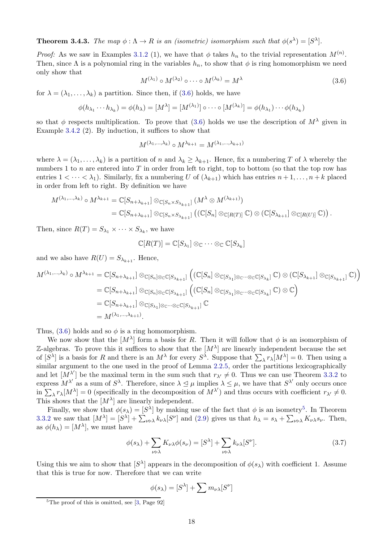<span id="page-17-3"></span>**Theorem 3.4.3.** The map  $\phi : \Lambda \to R$  is an (isometric) isomorphism such that  $\phi(s^{\lambda}) = [S^{\lambda}]$ .

*Proof:* As we saw in Examples 3.1.2 (1), we have that  $\phi$  takes  $h_n$  to the trivial representation  $M^{(n)}$ . Then, since  $\Lambda$  is a polynomial ring in the variables  $h_n$ , to show that  $\phi$  is ring homomorphism we need only show that

<span id="page-17-0"></span>
$$
M^{(\lambda_1)} \circ M^{(\lambda_2)} \circ \cdots \circ M^{(\lambda_k)} = M^{\lambda}
$$
\n(3.6)

for  $\lambda = (\lambda_1, \ldots, \lambda_k)$  a partition. Since then, if [\(3.6\)](#page-17-0) holds, we have

$$
\phi(h_{\lambda_1}\cdots h_{\lambda_k})=\phi(h_{\lambda})=[M^{\lambda}]=[M^{(\lambda_1)}]\circ\cdots\circ[M^{(\lambda_k)}]=\phi(h_{\lambda_1})\cdots\phi(h_{\lambda_k})
$$

so that  $\phi$  respects multiplication. To prove that [\(3.6\)](#page-17-0) holds we use the description of  $M^{\lambda}$  given in Example 3.4.2 (2). By induction, it suffices to show that

$$
M^{(\lambda_1,\ldots,\lambda_k)} \circ M^{\lambda_{k+1}} = M^{(\lambda_1,\ldots,\lambda_{k+1})}
$$

where  $\lambda = (\lambda_1, \ldots, \lambda_k)$  is a partition of n and  $\lambda_k \geq \lambda_{k+1}$ . Hence, fix a numbering T of  $\lambda$  whereby the numbers 1 to  $n$  are entered into  $T$  in order from left to right, top to bottom (so that the top row has entries  $1 < \cdots < \lambda_1$ ). Similarly, fix a numbering U of  $(\lambda_{k+1})$  which has entries  $n+1, \ldots, n+k$  placed in order from left to right. By definition we have

$$
M^{(\lambda_1,\ldots,\lambda_k)} \circ M^{\lambda_{k+1}} = \mathbb{C}[S_{n+\lambda_{k+1}}] \otimes_{\mathbb{C}[S_n \times S_{\lambda_{k+1}}]} (M^{\lambda} \otimes M^{(\lambda_{k+1})})
$$
  
=  $\mathbb{C}[S_{n+\lambda_{k+1}}] \otimes_{\mathbb{C}[S_n \times S_{\lambda_{k+1}}]} ((\mathbb{C}[S_n] \otimes_{\mathbb{C}[R(T)]} \mathbb{C}) \otimes (\mathbb{C}[S_{\lambda_{k+1}}] \otimes_{\mathbb{C}[R(U)]} \mathbb{C})).$ 

Then, since  $R(T) = S_{\lambda_1} \times \cdots \times S_{\lambda_k}$ , we have

$$
\mathbb{C}[R(T)] = \mathbb{C}[S_{\lambda_1}] \otimes_{\mathbb{C}} \cdots \otimes_{\mathbb{C}} \mathbb{C}[S_{\lambda_k}]
$$

and we also have  $R(U) = S_{\lambda_{k+1}}$ . Hence,

$$
M^{(\lambda_1,\ldots,\lambda_k)} \circ M^{\lambda_{k+1}} = \mathbb{C}[S_{n+\lambda_{k+1}}] \otimes_{\mathbb{C}[S_n] \otimes_{\mathbb{C}} \mathbb{C}[S_{\lambda_{k+1}}]} ((\mathbb{C}[S_n] \otimes_{\mathbb{C}[S_{\lambda_1}] \otimes_{\mathbb{C}} \cdots \otimes_{\mathbb{C}} \mathbb{C}[S_{\lambda_k}]} \mathbb{C}) \otimes (\mathbb{C}[S_{\lambda_{k+1}}] \otimes_{\mathbb{C}[S_{\lambda_{k+1}}]} \mathbb{C})
$$
  
\n
$$
= \mathbb{C}[S_{n+\lambda_{k+1}}] \otimes_{\mathbb{C}[S_n] \otimes_{\mathbb{C}} \mathbb{C}[S_{\lambda_{k+1}}]} ((\mathbb{C}[S_n] \otimes_{\mathbb{C}[S_{\lambda_1}] \otimes_{\mathbb{C}} \cdots \otimes_{\mathbb{C}} \mathbb{C}[S_{\lambda_k}]} \mathbb{C}) \otimes \mathbb{C})
$$
  
\n
$$
= \mathbb{C}[S_{n+\lambda_{k+1}}] \otimes_{\mathbb{C}[S_{\lambda_1}] \otimes_{\mathbb{C}} \cdots \otimes_{\mathbb{C}} \mathbb{C}[S_{\lambda_{k+1}}]} \mathbb{C}
$$
  
\n
$$
= M^{(\lambda_1,\ldots,\lambda_{k+1})}.
$$

Thus, [\(3.6\)](#page-17-0) holds and so  $\phi$  is a ring homomorphism.

We now show that the  $[M^{\lambda}]$  form a basis for R. Then it will follow that  $\phi$  is an isomorphism of Z-algebras. To prove this it suffices to show that the  $[M^{\lambda}]$  are linearly independent because the set of  $[S^{\lambda}]$  is a basis for R and there is an  $M^{\lambda}$  for every  $S^{\lambda}$ . Suppose that  $\sum_{\lambda} r_{\lambda}[M^{\lambda}] = 0$ . Then using a similar argument to the one used in the proof of Lemma [2.2.5,](#page-8-1) order the partitions lexicographically and let  $[M^{\lambda'}]$  be the maximal term in the sum such that  $r_{\lambda'} \neq 0$ . Thus we can use Theorem [3.3.2](#page-19-0) to express  $M^{\lambda'}$  as a sum of  $S^{\lambda}$ . Therefore, since  $\lambda \leq \mu$  implies  $\lambda \leq \mu$ , we have that  $S^{\lambda'}$  only occurs once  $\lim_{\Delta x \to 0} \sum_{\lambda} r_{\lambda}[M^{\lambda}] = 0$  (specifically in the decomposition of  $M^{\lambda'}$ ) and thus occurs with coefficient  $r_{\lambda'} \neq 0$ . This shows that the  $[M^{\lambda}]$  are linearly independent.

Finally, we show that  $\phi(s_\lambda) = [S^\lambda]$  by making use of the fact that  $\phi$  is an isometry<sup>[5](#page-17-1)</sup>. In Theorem [3.3.2](#page-19-0) we saw that  $[M^{\lambda}] = [S^{\lambda}] + \sum_{\nu \triangleright \lambda} k_{\nu \lambda} [S^{\nu}]$  and [\(2.9\)](#page-9-2) gives us that  $h_{\lambda} = s_{\lambda} + \sum_{\nu \triangleright \lambda} K_{\nu \lambda} s_{\nu}$ . Then, as  $\phi(h_\lambda) = [M^\lambda]$ , we must have

<span id="page-17-2"></span>
$$
\phi(s_{\lambda}) + \sum_{\nu \triangleright \lambda} K_{\nu\lambda} \phi(s_{\nu}) = [S^{\lambda}] + \sum_{\nu \triangleright \lambda} k_{\nu\lambda} [S^{\nu}]. \tag{3.7}
$$

Using this we aim to show that  $[S^{\lambda}]$  appears in the decomposition of  $\phi(s_{\lambda})$  with coefficient 1. Assume that this is true for now. Therefore that we can write

$$
\phi(s_{\lambda}) = [S^{\lambda}] + \sum m_{\nu\lambda} [S^{\nu}]
$$

<span id="page-17-1"></span> ${}^{5}$ The proof of this is omitted, see [\[3,](#page-40-0) Page 92]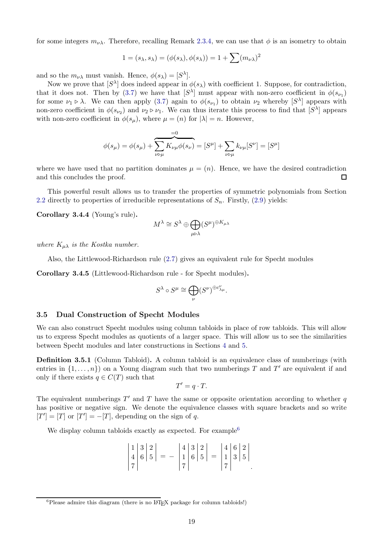for some integers  $m_{\nu\lambda}$ . Therefore, recalling Remark [2.3.4,](#page-10-4) we can use that  $\phi$  is an isometry to obtain

$$
1 = (s_{\lambda}, s_{\lambda}) = (\phi(s_{\lambda}), \phi(s_{\lambda})) = 1 + \sum (m_{\nu\lambda})^2
$$

and so the  $m_{\nu\lambda}$  must vanish. Hence,  $\phi(s_\lambda) = [S^\lambda]$ .

Now we prove that  $[S^{\lambda}]$  does indeed appear in  $\phi(s_{\lambda})$  with coefficient 1. Suppose, for contradiction, that it does not. Then by [\(3.7\)](#page-17-2) we have that  $[S^{\lambda}]$  must appear with non-zero coefficient in  $\phi(s_{\nu_1})$ for some  $\nu_1 \triangleright \lambda$ . We can then apply [\(3.7\)](#page-17-2) again to  $\phi(s_{\nu_1})$  to obtain  $\nu_2$  whereby  $[S^{\lambda}]$  appears with non-zero coefficient in  $\phi(s_{\nu_2})$  and  $\nu_2 \triangleright \nu_1$ . We can thus iterate this process to find that  $[S^{\lambda}]$  appears with non-zero coefficient in  $\phi(s_\mu)$ , where  $\mu = (n)$  for  $|\lambda| = n$ . However,

$$
\phi(s_{\mu}) = \phi(s_{\mu}) + \sum_{\nu \triangleright \mu} \overline{K_{\nu\mu}\phi(s_{\nu})} = [S^{\mu}] + \sum_{\nu \triangleright \mu} k_{\nu\mu} [S^{\nu}] = [S^{\mu}]
$$

where we have used that no partition dominates  $\mu = (n)$ . Hence, we have the desired contradiction and this concludes the proof. П

This powerful result allows us to transfer the properties of symmetric polynomials from Section [2.2](#page-6-0) directly to properties of irreducible representations of  $S_n$ . Firstly, [\(2.9\)](#page-9-2) yields:

Corollary 3.4.4 (Young's rule).

$$
M^{\lambda} \cong S^{\lambda} \oplus \bigoplus_{\mu \triangleright \lambda} (S^{\mu})^{\oplus K_{\mu \lambda}}
$$

*where*  $K_{\mu\lambda}$  *is the Kostka number.* 

Also, the Littlewood-Richardson rule [\(2.7\)](#page-7-4) gives an equivalent rule for Specht modules

Corollary 3.4.5 (Littlewood-Richardson rule - for Specht modules).

$$
S^\lambda \circ S^\mu \cong \bigoplus_\nu (S^\nu)^{\oplus c_{\lambda\mu}^\nu}.
$$

#### <span id="page-18-0"></span>3.5 Dual Construction of Specht Modules

We can also construct Specht modules using column tabloids in place of row tabloids. This will allow us to express Specht modules as quotients of a larger space. This will allow us to see the similarities between Specht modules and later constructions in Sections [4](#page-22-0) and [5.](#page-33-0)

**Definition 3.5.1** (Column Tabloid). A column tabloid is an equivalence class of numberings (with entries in  $\{1,\ldots,n\}$  on a Young diagram such that two numberings T and T' are equivalent if and only if there exists  $q \in C(T)$  such that

$$
T'=q\cdot T.
$$

The equivalent numberings  $T'$  and  $T$  have the same or opposite orientation according to whether  $q$ has positive or negative sign. We denote the equivalence classes with square brackets and so write  $[T'] = [T]$  or  $[T'] = -[T]$ , depending on the sign of q.

We display column tabloids exactly as expected. For example<sup>[6](#page-18-1)</sup>

|  |  |                                                            |  | $\begin{vmatrix} 4 & 3 & 2 \\ 1 & 6 & 5 \end{vmatrix}$ = | $\begin{array}{ c c }\n 4 & 6 & 2 \\  1 & 3 & 5\n \end{array}$ |  |  |
|--|--|------------------------------------------------------------|--|----------------------------------------------------------|----------------------------------------------------------------|--|--|
|  |  |                                                            |  |                                                          |                                                                |  |  |
|  |  | $\begin{vmatrix} 1 & 3 & 2 \\ 4 & 6 & 5 \end{vmatrix} = -$ |  |                                                          |                                                                |  |  |

<span id="page-18-1"></span> ${}^{6}$ Please admire this diagram (there is no L<sup>A</sup>T<sub>E</sub>X package for column tabloids!)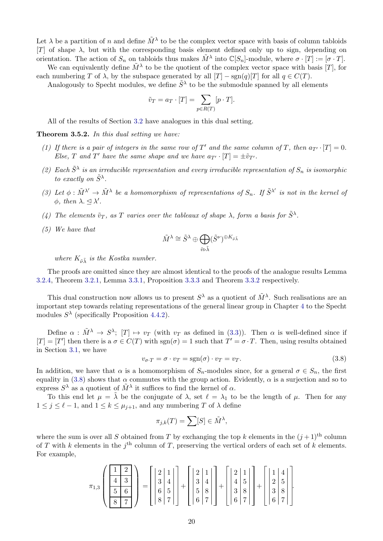Let  $\lambda$  be a partition of n and define  $\tilde{M}^{\lambda}$  to be the complex vector space with basis of column tabloids [T] of shape  $\lambda$ , but with the corresponding basis element defined only up to sign, depending on orientation. The action of  $S_n$  on tabloids thus makes  $\tilde{M}^{\lambda}$  into  $\mathbb{C}[S_n]$ -module, where  $\sigma \cdot [T] := [\sigma \cdot T]$ . We can equivalently define  $\tilde{M}^{\lambda}$  to be the quotient of the complex vector space with basis [T], for

each numbering T of  $\lambda$ , by the subspace generated by all  $[T]$  – sgn $(q)[T]$  for all  $q \in C(T)$ .

Analogously to Specht modules, we define  $\tilde{S}^{\lambda}$  to be the submodule spanned by all elements

$$
\tilde{v}_T = a_T \cdot [T] = \sum_{p \in R(T)} [p \cdot T].
$$

All of the results of Section [3.2](#page-12-0) have analogues in this dual setting.

<span id="page-19-0"></span>Theorem 3.5.2. *In this dual setting we have:*

- (1) If there is a pair of integers in the same row of T' and the same column of T, then  $a_{T'} \cdot [T] = 0$ . *Else,* T and T' have the same shape and we have  $a_{T'} \cdot [T] = \pm \tilde{v}_{T'}$ .
- (2) Each  $\tilde{S}^{\lambda}$  is an irreducible representation and every irreducible representation of  $S_n$  is isomorphic *to exactly on*  $\tilde{S}^{\lambda}$ .
- (3) Let  $\phi : \tilde{M}^{\lambda'} \to \tilde{M}^{\lambda}$  be a homomorphism of representations of  $S_n$ . If  $\tilde{S}^{\lambda'}$  is not in the kernel of  $\phi$ *, then*  $\lambda \leq \lambda'$ *.*
- (4) The elements  $\tilde{v}_T$ , as T varies over the tableaux of shape  $\lambda$ , form a basis for  $\tilde{S}^{\lambda}$ .
- *(5) We have that*

$$
\tilde{M}^{\lambda} \cong \tilde{S}^{\lambda} \oplus \bigoplus_{\tilde{v} \triangleright \tilde{\lambda}} (\tilde{S}^{\nu})^{\oplus K_{\tilde{\nu}\tilde{\lambda}}}
$$

*where*  $K_{\tilde{u}}$  *is the Kostka number.* 

The proofs are omitted since they are almost identical to the proofs of the analogue results Lemma [3.2.4,](#page-13-1) Theorem [3.2.1,](#page-12-2) Lemma [3.3.1,](#page-15-2) Proposition [3.3.3](#page-15-3) and Theorem [3.3.2](#page-19-0) respectively.

This dual construction now allows us to present  $S^{\lambda}$  as a quotient of  $\tilde{M}^{\lambda}$ . Such realisations are an important step towards relating representations of the general linear group in Chapter [4](#page-22-0) to the Specht modules  $S^{\lambda}$  (specifically Proposition [4.4.2\)](#page-30-0).

Define  $\alpha : \tilde{M}^{\lambda} \to S^{\lambda}$ ;  $[T] \mapsto v_T$  (with  $v_T$  as defined in [\(3.3\)](#page-12-6)). Then  $\alpha$  is well-defined since if  $[T] = [T']$  then there is a  $\sigma \in C(T)$  with  $sgn(\sigma) = 1$  such that  $T' = \sigma \cdot T$ . Then, using results obtained in Section [3.1,](#page-10-1) we have

<span id="page-19-1"></span>
$$
v_{\sigma \cdot T} = \sigma \cdot v_T = \text{sgn}(\sigma) \cdot v_T = v_T. \tag{3.8}
$$

In addition, we have that  $\alpha$  is a homomorphism of  $S_n$ -modules since, for a general  $\sigma \in S_n$ , the first equality in [\(3.8\)](#page-19-1) shows that  $\alpha$  commutes with the group action. Evidently,  $\alpha$  is a surjection and so to express  $S^{\lambda}$  as a quotient of  $\tilde{M}^{\lambda}$  it suffices to find the kernel of  $\alpha$ .

To this end let  $\mu = \tilde{\lambda}$  be the conjugate of  $\lambda$ , set  $\ell = \lambda_1$  to be the length of  $\mu$ . Then for any  $1 \leq j \leq \ell - 1$ , and  $1 \leq k \leq \mu_{j+1}$ , and any numbering T of  $\lambda$  define

$$
\pi_{j,k}(T) = \sum [S] \in \tilde{M}^{\lambda},
$$

where the sum is over all S obtained from T by exchanging the top k elements in the  $(j+1)$ <sup>th</sup> column of T with k elements in the  $j<sup>th</sup>$  column of T, preserving the vertical orders of each set of k elements. For example,

$$
\pi_{1,3}\left(\begin{array}{c}1 & 2\\ \hline 4 & 3\\ \hline 5 & 6\\ \hline 8 & 7\end{array}\right) = \left[\begin{array}{c}2 & 1\\ 3 & 4\\ 6 & 5\\ \hline 8 & 7\end{array}\right] + \left[\begin{array}{c}2 & 1\\ 3 & 4\\ 5 & 8\\ \hline 6 & 7\end{array}\right] + \left[\begin{array}{c}2 & 1\\ 4 & 5\\ 3 & 8\\ \hline 6 & 7\end{array}\right] + \left[\begin{array}{c}1 & 4\\ 2 & 5\\ 3 & 8\\ \hline 6 & 7\end{array}\right].
$$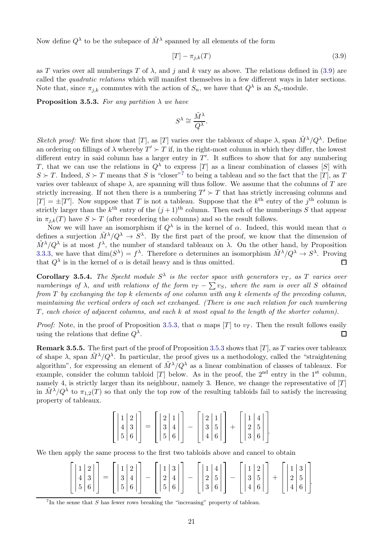Now define  $Q^{\lambda}$  to be the subspace of  $\tilde{M}^{\lambda}$  spanned by all elements of the form

<span id="page-20-0"></span>
$$
[T] - \pi_{j,k}(T) \tag{3.9}
$$

as T varies over all numberings T of  $\lambda$ , and j and k vary as above. The relations defined in [\(3.9\)](#page-20-0) are called the *quadratic relations* which will manifest themselves in a few different ways in later sections. Note that, since  $\pi_{j,k}$  commutes with the action of  $S_n$ , we have that  $Q^{\lambda}$  is an  $S_n$ -module.

<span id="page-20-2"></span>**Proposition 3.5.3.** For any partition  $\lambda$  we have

$$
S^{\lambda} \cong \frac{\tilde{M}^{\lambda}}{Q^{\lambda}}.
$$

*Sketch proof:* We first show that [T], as [T] varies over the tableaux of shape  $\lambda$ , span  $\tilde{M}^{\lambda}/Q^{\lambda}$ . Define an ordering on fillings of  $\lambda$  whereby  $T' \succ T$  if, in the right-most column in which they differ, the lowest different entry in said column has a larger entry in  $T'$ . It suffices to show that for any numbering T, that we can use the relations in  $Q^{\lambda}$  to express [T] as a linear combination of classes [S] with  $S \succ T$ . Indeed,  $S \succ T$  means that S is "closer"<sup>[7](#page-20-1)</sup> to being a tableau and so the fact that the [T], as T varies over tableaux of shape  $\lambda$ , are spanning will thus follow. We assume that the columns of T are strictly increasing. If not then there is a numbering  $T' \succ T$  that has strictly increasing columns and  $[T] = \pm [T']$ . Now suppose that T is not a tableau. Suppose that the k<sup>th</sup> entry of the j<sup>th</sup> column is strictly larger than the  $k^{\text{th}}$  entry of the  $(j+1)^{\text{th}}$  column. Then each of the numberings S that appear in  $\pi_{i,k}(T)$  have  $S \succ T$  (after reordering the columns) and so the result follows.

Now we will have an isomorphism if  $Q^{\lambda}$  is in the kernel of  $\alpha$ . Indeed, this would mean that  $\alpha$ defines a surjection  $\tilde{M}^{\lambda}/Q^{\lambda} \to S^{\lambda}$ . By the first part of the proof, we know that the dimension of  $\tilde{M}^{\lambda}/Q^{\lambda}$  is at most  $f^{\lambda}$ , the number of standard tableaux on  $\lambda$ . On the other hand, by Proposition [3.3.3,](#page-15-3) we have that  $\dim(S^{\lambda}) = f^{\lambda}$ . Therefore  $\alpha$  determines an isomorphism  $\tilde{M}^{\lambda}/Q^{\lambda} \to S^{\lambda}$ . Proving that  $Q^{\lambda}$  is in the kernel of  $\alpha$  is detail heavy and is thus omitted.  $\Box$ 

**Corollary 3.5.4.** The Specht module  $S^{\lambda}$  is the vector space with generators  $v_T$ , as T varies over *numberings of*  $\lambda$ *, and with relations of the form*  $v_T - \sum v_S$ *, where the sum is over all* S *obtained from* T *by exchanging the top* k *elements of one column with any* k *elements of the preceding column, maintaining the vertical orders of each set exchanged. (There is one such relation for each numbering* T*, each choice of adjacent columns, and each* k *at most equal to the length of the shorter column).*

*Proof:* Note, in the proof of Proposition [3.5.3,](#page-20-2) that  $\alpha$  maps [T] to  $v_T$ . Then the result follows easily using the relations that define  $Q^{\lambda}$ .  $\Box$ 

**Remark 3.5.5.** The first part of the proof of Proposition [3.5.3](#page-20-2) shows that [T], as T varies over tableaux of shape  $\lambda$ , span  $\tilde{M}^{\lambda}/Q^{\lambda}$ . In particular, the proof gives us a methodology, called the "straightening algorithm", for expressing an element of  $\tilde{M}^{\lambda}/Q^{\lambda}$  as a linear combination of classes of tableaux. For example, consider the column tabloid  $[T]$  below. As in the proof, the 2<sup>nd</sup> entry in the 1<sup>st</sup> column, namely 4, is strictly larger than its neighbour, namely 3. Hence, we change the representative of  $[T]$ in  $\tilde{M}^{\lambda}/Q^{\lambda}$  to  $\pi_{1,2}(T)$  so that only the top row of the resulting tabloids fail to satisfy the increasing property of tableaux.

$$
\begin{bmatrix} 1 & 2 \ 4 & 3 \ 5 & 6 \end{bmatrix} = \begin{bmatrix} 2 & 1 \ 3 & 4 \ 5 & 6 \end{bmatrix} - \begin{bmatrix} 2 & 1 \ 3 & 5 \ 4 & 6 \end{bmatrix} + \begin{bmatrix} 1 & 4 \ 2 & 5 \ 3 & 6 \end{bmatrix}.
$$

We then apply the same process to the first two tabloids above and cancel to obtain

|  | $\left[\begin{bmatrix}1 & 2\\4 & 3\\5 & 6\end{bmatrix}\right] = \left[\begin{bmatrix}1 & 2\\3 & 4\\5 & 6\end{bmatrix}\right] - \left[\begin{bmatrix}1 & 3\\2 & 4\\5 & 6\end{bmatrix}\right] - \left[\begin{bmatrix}1 & 4\\2 & 5\\3 & 6\end{bmatrix}\right] - \left[\begin{bmatrix}1 & 2\\3 & 5\\4 & 6\end{bmatrix}\right] + \left[\begin{bmatrix}1 & 3\\2 & 5\\4 & 6\end{bmatrix}\right]$ |  |  |  |  |  |  |  |  |  |  |  |
|--|-------------------------------------------------------------------------------------------------------------------------------------------------------------------------------------------------------------------------------------------------------------------------------------------------------------------------------------------------------------------------------------------|--|--|--|--|--|--|--|--|--|--|--|

<span id="page-20-1"></span> $7$ In the sense that  $S$  has fewer rows breaking the "increasing" property of tableau.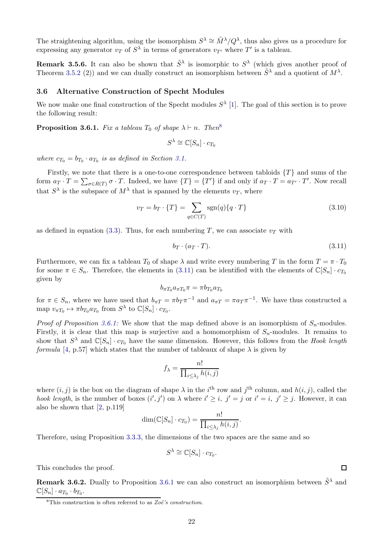The straightening algorithm, using the isomorphism  $S^{\lambda} \cong \tilde{M}^{\lambda}/Q^{\lambda}$ , thus also gives us a procedure for expressing any generator  $v_T$  of  $S^{\lambda}$  in terms of generators  $v_{T'}$  where  $T'$  is a tableau.

**Remark 3.5.6.** It can also be shown that  $\tilde{S}^{\lambda}$  is isomorphic to  $S^{\lambda}$  (which gives another proof of Theorem [3.5.2](#page-19-0) (2)) and we can dually construct an isomorphism between  $\tilde{S}^{\lambda}$  and a quotient of  $M^{\lambda}$ .

#### <span id="page-21-0"></span>3.6 Alternative Construction of Specht Modules

We now make one final construction of the Specht modules  $S^{\lambda}$  [\[1\]](#page-40-2). The goal of this section is to prove the following result:

<span id="page-21-3"></span>**Proposition 3.6.1.** *Fix a tableau*  $T_0$  *of shape*  $\lambda \vdash n$ *. Then*<sup>[8](#page-21-1)</sup>

$$
S^{\lambda} \cong \mathbb{C}[S_n] \cdot c_{T_0}
$$

*where*  $c_{T_0} = b_{T_0} \cdot a_{T_0}$  *is as defined in Section [3.1.](#page-10-1)* 

Firstly, we note that there is a one-to-one correspondence between tabloids  $\{T\}$  and sums of the form  $a_T \cdot T = \sum_{\sigma \in R(T)} \sigma \cdot T$ . Indeed, we have  $\{T\} = \{T'\}$  if and only if  $a_T \cdot T = a_{T'} \cdot T'$ . Now recall that  $S^{\lambda}$  is the subspace of  $M^{\lambda}$  that is spanned by the elements  $v_T$ , where

$$
v_T = b_T \cdot \{T\} = \sum_{q \in C(T)} \text{sgn}(q) \{q \cdot T\}
$$
\n(3.10)

.

as defined in equation [\(3.3\)](#page-12-6). Thus, for each numbering T, we can associate  $v<sub>T</sub>$  with

<span id="page-21-2"></span>
$$
b_T \cdot (a_T \cdot T). \tag{3.11}
$$

Furthermore, we can fix a tableau  $T_0$  of shape  $\lambda$  and write every numbering T in the form  $T = \pi \cdot T_0$ for some  $\pi \in S_n$ . Therefore, the elements in [\(3.11\)](#page-21-2) can be identified with the elements of  $\mathbb{C}[S_n] \cdot c_{T_0}$ given by

$$
b_{\pi T_0}a_{\pi T_0}\pi = \pi b_{T_0}a_{T_0}
$$

for  $\pi \in S_n$ , where we have used that  $b_{\pi T} = \pi b_T \pi^{-1}$  and  $a_{\pi T} = \pi a_T \pi^{-1}$ . We have thus constructed a map  $v_{\pi T_0} \mapsto \pi b_{T_0} a_{T_0}$  from  $S^{\lambda}$  to  $\mathbb{C}[S_n] \cdot c_{T_0}$ .

*Proof of Proposition* [3.6.1:](#page-21-3) We show that the map defined above is an isomorphism of  $S_n$ -modules. Firstly, it is clear that this map is surjective and a homomorphism of  $S_n$ -modules. It remains to show that  $S^{\lambda}$  and  $\mathbb{C}[S_n] \cdot c_{T_0}$  have the same dimension. However, this follows from the *Hook length formula* [\[4,](#page-40-3) p.57] which states that the number of tableaux of shape  $\lambda$  is given by

$$
f_{\lambda} = \frac{n!}{\prod_{i \leq \lambda_j} h(i,j)}
$$

where  $(i, j)$  is the box on the diagram of shape  $\lambda$  in the i<sup>th</sup> row and j<sup>th</sup> column, and  $h(i, j)$ , called the *hook length*, is the number of boxes  $(i', j')$  on  $\lambda$  where  $i' \geq i$ ,  $j' = j$  or  $i' = i$ ,  $j' \geq j$ . However, it can also be shown that [\[2,](#page-40-4) p.119]

$$
\dim(\mathbb{C}[S_n] \cdot c_{T_0}) = \frac{n!}{\prod_{i \leq \lambda_j} h(i,j)}
$$

Therefore, using Proposition [3.3.3,](#page-15-3) the dimensions of the two spaces are the same and so

$$
S^{\lambda} \cong \mathbb{C}[S_n] \cdot c_{T_0}.
$$

This concludes the proof.

**Remark 3.6.2.** Dually to Proposition [3.6.1](#page-21-3) we can also construct an isomorphism between  $\tilde{S}^{\lambda}$  and  $\mathbb{C}[S_n] \cdot a_{T_0} \cdot b_{T_0}.$ 

 $\Box$ 

<span id="page-21-1"></span><sup>&</sup>lt;sup>8</sup>This construction is often referred to as  $Zo\ddot{e}$ 's construction.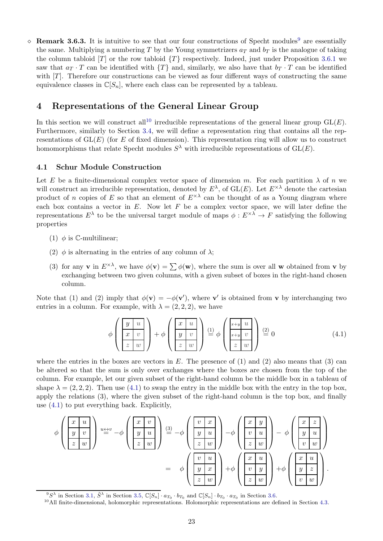$\Diamond$  Remark 3.6.3. It is intuitive to see that our four constructions of Specht modules<sup>[9](#page-22-2)</sup> are essentially the same. Multiplying a numbering T by the Young symmetrizers  $a_T$  and  $b_T$  is the analogue of taking the column tabloid  $[T]$  or the row tabloid  $\{T\}$  respectively. Indeed, just under Proposition [3.6.1](#page-21-3) we saw that  $a_T \cdot T$  can be identified with  $\{T\}$  and, similarly, we also have that  $b_T \cdot T$  can be identified with  $[T]$ . Therefore our constructions can be viewed as four different ways of constructing the same equivalence classes in  $\mathbb{C}[S_n]$ , where each class can be represented by a tableau.

# <span id="page-22-0"></span>4 Representations of the General Linear Group

In this section we will construct all<sup>[10](#page-22-3)</sup> irreducible representations of the general linear group  $GL(E)$ . Furthermore, similarly to Section [3.4,](#page-16-0) we will define a representation ring that contains all the representations of  $GL(E)$  (for E of fixed dimension). This representation ring will allow us to construct homomorphisms that relate Specht modules  $S^{\lambda}$  with irreducible representations of  $GL(E)$ .

#### <span id="page-22-1"></span>4.1 Schur Module Construction

Let E be a finite-dimensional complex vector space of dimension m. For each partition  $\lambda$  of n we will construct an irreducible representation, denoted by  $E^{\lambda}$ , of  $GL(E)$ . Let  $E^{\times \lambda}$  denote the cartesian product of n copies of E so that an element of  $E^{\times \lambda}$  can be thought of as a Young diagram where each box contains a vector in  $E$ . Now let  $F$  be a complex vector space, we will later define the representations  $E^{\lambda}$  to be the universal target module of maps  $\phi: E^{\times\lambda} \to F$  satisfying the following properties

- (1)  $\phi$  is C-multilinear;
- (2)  $\phi$  is alternating in the entries of any column of  $\lambda$ ;
- (3) for any **v** in  $E^{\times\lambda}$ , we have  $\phi(\mathbf{v}) = \sum \phi(\mathbf{w})$ , where the sum is over all **w** obtained from **v** by exchanging between two given columns, with a given subset of boxes in the right-hand chosen column.

Note that (1) and (2) imply that  $\phi(\mathbf{v}) = -\phi(\mathbf{v}')$ , where v' is obtained from v by interchanging two entries in a column. For example, with  $\lambda = (2, 2, 2)$ , we have

<span id="page-22-4"></span>
$$
\phi\left(\begin{array}{c|c} y & u \\ x & v \\ z & w \end{array}\right) + \phi\left(\begin{array}{c|c} x & u \\ y & v \\ z & w \end{array}\right) \stackrel{(1)}{=} \phi\left(\begin{array}{c|c} x+y & u \\ x+y & v \\ z & w \end{array}\right) \stackrel{(2)}{=} 0 \tag{4.1}
$$

where the entries in the boxes are vectors in  $E$ . The presence of (1) and (2) also means that (3) can be altered so that the sum is only over exchanges where the boxes are chosen from the top of the column. For example, let our given subset of the right-hand column be the middle box in a tableau of shape  $\lambda = (2, 2, 2)$ . Then use  $(4.1)$  to swap the entry in the middle box with the entry in the top box, apply the relations (3), where the given subset of the right-hand column is the top box, and finally use [\(4.1\)](#page-22-4) to put everything back. Explicitly,

$$
\phi\left(\begin{array}{c} x & u \\ y & v \\ z & w \end{array}\right) \stackrel{u \leftrightarrow v}{=} -\phi\left(\begin{array}{c} x & v \\ y & u \\ z & w \end{array}\right) \stackrel{(3)}{=} -\phi\left(\begin{array}{c} v & x \\ y & u \\ z & w \end{array}\right) -\phi\left(\begin{array}{c} x & y \\ v & u \\ z & w \end{array}\right) -\phi\left(\begin{array}{c} x & z \\ y & u \\ v & w \end{array}\right) -\phi\left(\begin{array}{c} x & z \\ y & u \\ v & w \end{array}\right)
$$
\n
$$
= \phi\left(\begin{array}{c} v & u \\ y & x \\ z & w \end{array}\right) + \phi\left(\begin{array}{c} x & u \\ v & y \\ z & w \end{array}\right) + \phi\left(\begin{array}{c} x & u \\ y & z \\ v & w \end{array}\right) + \phi\left(\begin{array}{c} x & u \\ y & z \\ v & w \end{array}\right).
$$

<sup>&</sup>lt;sup>9</sup>S<sup> $\lambda$ </sup> in Section [3.1,](#page-10-1)  $\tilde{S}^{\lambda}$  in Section [3.5,](#page-18-0)  $\mathbb{C}[S_n] \cdot a_{T_0} \cdot b_{T_0}$  and  $\mathbb{C}[S_n] \cdot b_{T_0} \cdot a_{T_0}$  in Section [3.6.](#page-21-0)

<span id="page-22-3"></span><span id="page-22-2"></span><sup>10</sup>All finite-dimensional, holomorphic representations. Holomorphic representations are defined in Section [4.3.](#page-26-0)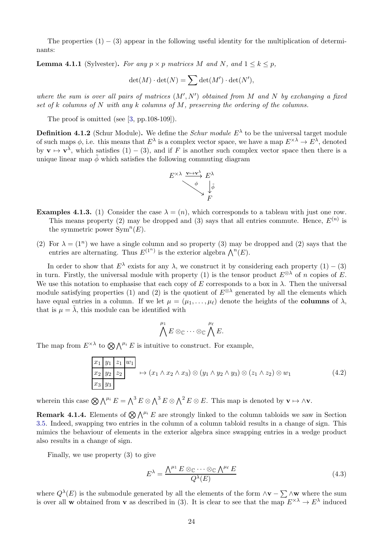The properties  $(1) - (3)$  appear in the following useful identity for the multiplication of determinants:

<span id="page-23-2"></span>**Lemma 4.1.1** (Sylvester). For any  $p \times p$  matrices M and N, and  $1 \leq k \leq p$ ,

$$
\det(M) \cdot \det(N) = \sum \det(M') \cdot \det(N'),
$$

*where the sum is over all pairs of matrices* (M′ , N′ ) *obtained from* M *and* N *by exchanging a fixed set of* k *columns of* N *with any* k *columns of* M*, preserving the ordering of the columns.*

The proof is omitted (see [\[3,](#page-40-0) pp.108-109]).

**Definition 4.1.2** (Schur Module). We define the *Schur module*  $E^{\lambda}$  to be the universal target module of such maps  $\phi$ , i.e. this means that  $E^{\lambda}$  is a complex vector space, we have a map  $E^{\times\lambda} \to E^{\lambda}$ , denoted by  $\mathbf{v} \mapsto \mathbf{v}^{\lambda}$ , which satisfies  $(1) - (3)$ , and if F is another such complex vector space then there is a unique linear map  $\tilde{\phi}$  which satisfies the following commuting diagram



- **Examples 4.1.3.** (1) Consider the case  $\lambda = (n)$ , which corresponds to a tableau with just one row. This means property (2) may be dropped and (3) says that all entries commute. Hence,  $E^{(n)}$  is the symmetric power  $Sym<sup>n</sup>(E)$ .
- (2) For  $\lambda = (1^n)$  we have a single column and so property (3) may be dropped and (2) says that the entries are alternating. Thus  $E^{(1^n)}$  is the exterior algebra  $\bigwedge^n(E)$ .

In order to show that  $E^{\lambda}$  exists for any  $\lambda$ , we construct it by considering each property  $(1) - (3)$ in turn. Firstly, the universal module with property (1) is the tensor product  $E^{\otimes \lambda}$  of n copies of E. We use this notation to emphasise that each copy of E corresponds to a box in  $\lambda$ . Then the universal module satisfying properties (1) and (2) is the quotient of  $E^{\otimes \lambda}$  generated by all the elements which have equal entries in a column. If we let  $\mu = (\mu_1, \dots, \mu_\ell)$  denote the heights of the **columns** of  $\lambda$ , that is  $\mu = \lambda$ , this module can be identified with

$$
\bigwedge^{\mu_1} E \otimes_{\mathbb{C}} \cdots \otimes_{\mathbb{C}} \bigwedge^{\mu_\ell} E.
$$

The map from  $E^{\times \lambda}$  to  $\bigotimes \bigwedge^{\mu_i} E$  is intuitive to construct. For example,

<span id="page-23-3"></span>
$$
\frac{x_1}{x_2}\frac{y_1}{y_2}\frac{z_1}{z_2} w_1 \rightarrow (x_1 \wedge x_2 \wedge x_3) \otimes (y_1 \wedge y_2 \wedge y_3) \otimes (z_1 \wedge z_2) \otimes w_1
$$
\n
$$
\overline{x_3}\frac{y_3}{y_3} \qquad (4.2)
$$

wherein this case  $\bigotimes \bigwedge^{\mu_i} E = \bigwedge^3 E \otimes \bigwedge^3 E \otimes \bigwedge^2 E \otimes E$ . This map is denoted by  $\mathbf{v} \mapsto \wedge \mathbf{v}$ .

<span id="page-23-0"></span>**Remark 4.1.4.** Elements of  $\bigotimes \bigwedge^{\mu_i} E$  are strongly linked to the column tabloids we saw in Section [3.5.](#page-18-0) Indeed, swapping two entries in the column of a column tabloid results in a change of sign. This mimics the behaviour of elements in the exterior algebra since swapping entries in a wedge product also results in a change of sign.

Finally, we use property (3) to give

<span id="page-23-1"></span>
$$
E^{\lambda} = \frac{\Lambda^{\mu_1} E \otimes_{\mathbb{C}} \cdots \otimes_{\mathbb{C}} \Lambda^{\mu_\ell} E}{Q^{\lambda}(E)}
$$
(4.3)

where  $Q^{\lambda}(E)$  is the submodule generated by all the elements of the form  $\wedge$ v –  $\sum \wedge$ w where the sum is over all w obtained from v as described in (3). It is clear to see that the map  $E^{\times \lambda} \to E^{\lambda}$  induced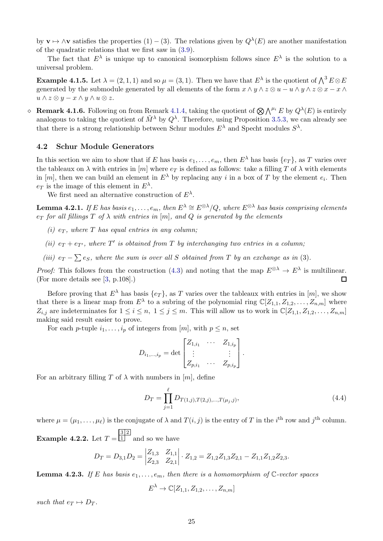by  $\mathbf{v} \mapsto \wedge \mathbf{v}$  satisfies the properties  $(1) - (3)$ . The relations given by  $Q^{\lambda}(E)$  are another manifestation of the quadratic relations that we first saw in [\(3.9\)](#page-20-0).

The fact that  $E^{\lambda}$  is unique up to canonical isomorphism follows since  $E^{\lambda}$  is the solution to a universal problem.

**Example 4.1.5.** Let  $\lambda = (2, 1, 1)$  and so  $\mu = (3, 1)$ . Then we have that  $E^{\lambda}$  is the quotient of  $\bigwedge^3 E \otimes E$ generated by the submodule generated by all elements of the form  $x \wedge y \wedge z \otimes u - u \wedge y \wedge z \otimes x - x \wedge y$  $u \wedge z \otimes y - x \wedge y \wedge u \otimes z.$ 

↑ Remark 4.1.6. Following on from Remark [4.1.4,](#page-23-0) taking the quotient of  $\bigotimes \bigwedge^{\mu_i} E$  by  $Q^{\lambda}(E)$  is entirely analogous to taking the quotient of  $\tilde{M}^{\lambda}$  by  $Q^{\lambda}$ . Therefore, using Proposition [3.5.3,](#page-20-2) we can already see that there is a strong relationship between Schur modules  $E^{\lambda}$  and Specht modules  $S^{\lambda}$ .

#### <span id="page-24-0"></span>4.2 Schur Module Generators

In this section we aim to show that if E has basis  $e_1, \ldots, e_m$ , then  $E^{\lambda}$  has basis  $\{e_T\}$ , as T varies over the tableaux on  $\lambda$  with entries in  $[m]$  where  $e_T$  is defined as follows: take a filling T of  $\lambda$  with elements in [m], then we can build an element in  $E^{\lambda}$  by replacing any i in a box of T by the element  $e_i$ . Then  $e_T$  is the image of this element in  $E^{\lambda}$ .

We first need an alternative construction of  $E^{\lambda}$ .

<span id="page-24-1"></span>**Lemma 4.2.1.** *If* E *has basis*  $e_1, \ldots, e_m$ , then  $E^{\lambda} \cong E^{\otimes \lambda}/Q$ , where  $E^{\otimes \lambda}$  *has basis comprising elements*  $e_T$  *for all fillings*  $T$  *of*  $\lambda$  *with entries in*  $[m]$ *, and*  $Q$  *is generated by the elements* 

- *(i)*  $e_T$ , where T has equal entries in any column;
- (*ii*)  $e_T + e_{T'}$ , where  $T'$  is obtained from  $T$  by interchanging two entries in a column;
- *(iii)*  $e_T \sum e_S$ , where the sum is over all S obtained from T by an exchange as in (3).

*Proof:* This follows from the construction [\(4.3\)](#page-23-1) and noting that the map  $E^{\otimes \lambda} \to E^{\lambda}$  is multilinear. (For more details see [\[3,](#page-40-0) p.108].)  $\Box$ 

Before proving that  $E^{\lambda}$  has basis  $\{e_T\}$ , as T varies over the tableaux with entries in  $[m]$ , we show that there is a linear map from  $E^{\lambda}$  to a subring of the polynomial ring  $\mathbb{C}[Z_{1,1}, Z_{1,2}, \ldots, Z_{n,m}]$  where  $Z_{i,j}$  are indeterminates for  $1 \leq i \leq n, 1 \leq j \leq m$ . This will allow us to work in  $\mathbb{C}[Z_{1,1}, Z_{1,2}, \ldots, Z_{n,m}]$ making said result easier to prove.

For each p-tuple  $i_1, \ldots, i_p$  of integers from  $[m]$ , with  $p \leq n$ , set

$$
D_{i_1,\dots,i_p} = \det \begin{bmatrix} Z_{1,i_1} & \cdots & Z_{1,i_p} \\ \vdots & & \vdots \\ Z_{p,i_1} & \cdots & Z_{p,i_p} \end{bmatrix}.
$$

For an arbitrary filling T of  $\lambda$  with numbers in [m], define

<span id="page-24-3"></span>
$$
D_T = \prod_{j=1}^{\ell} D_{T(1,j),T(2,j),\dots,T(\mu_j,j)},\tag{4.4}
$$

where  $\mu = (\mu_1, \dots, \mu_\ell)$  is the conjugate of  $\lambda$  and  $T(i, j)$  is the entry of T in the i<sup>th</sup> row and j<sup>th</sup> column.

Example 4.2.2. Let  $T =$ 3 2 1 and so we have

$$
D_T = D_{3,1}D_2 = \begin{vmatrix} Z_{1,3} & Z_{1,1} \\ Z_{2,3} & Z_{2,1} \end{vmatrix} \cdot Z_{1,2} = Z_{1,2}Z_{1,3}Z_{2,1} - Z_{1,1}Z_{1,2}Z_{2,3}.
$$

<span id="page-24-2"></span>**Lemma 4.2.3.** If E has basis  $e_1, \ldots, e_m$ , then there is a homomorphism of  $\mathbb{C}$ -vector spaces

 $E^{\lambda} \to \mathbb{C}[Z_{1,1}, Z_{1,2}, \ldots, Z_{n,m}]$ 

*such that*  $e_T \mapsto D_T$ *.*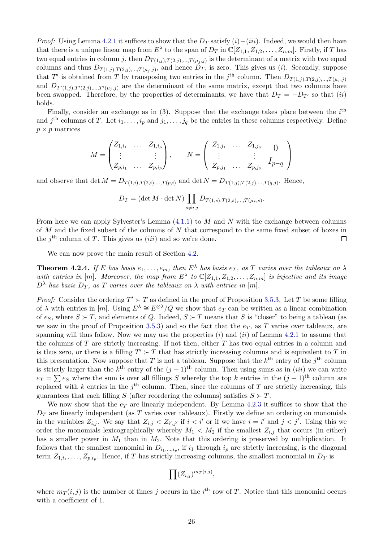*Proof:* Using Lemma [4.2.1](#page-24-1) it suffices to show that the  $D_T$  satisfy  $(i)-(iii)$ . Indeed, we would then have that there is a unique linear map from  $E^{\lambda}$  to the span of  $D_T$  in  $\mathbb{C}[Z_{1,1}, Z_{1,2}, \ldots, Z_{n,m}]$ . Firstly, if T has two equal entries in column j, then  $D_{T(1,j),T(2,j),...,T(\mu_j,j)}$  is the determinant of a matrix with two equal columns and thus  $D_{T(1,j),T(2,j),...,T(\mu_j,j)}$ , and hence  $D_T$ , is zero. This gives us (*i*). Secondly, suppose that T' is obtained from T by transposing two entries in the j<sup>th</sup> column. Then  $D_{T(1,j),T(2,j),...,T(\mu_j,j)}$ and  $D_{T'(1,j),T'(2,j),...,T'(\mu_j,j)}$  are the determinant of the same matrix, except that two columns have been swapped. Therefore, by the properties of determinants, we have that  $D_T = -D_{T'}$  so that  $(ii)$ holds.

Finally, consider an exchange as in  $(3)$ . Suppose that the exchange takes place between the  $i<sup>th</sup>$ and  $j^{\text{th}}$  columns of T. Let  $i_1, \ldots, i_p$  and  $j_1, \ldots, j_q$  be the entries in these columns respectively. Define  $p \times p$  matrices

$$
M = \begin{pmatrix} Z_{1,i_1} & \dots & Z_{1,i_p} \\ \vdots & & \vdots \\ Z_{p,i_1} & \dots & Z_{p,i_p} \end{pmatrix}, \qquad N = \begin{pmatrix} Z_{1,j_1} & \dots & Z_{1,j_q} & 0 \\ \vdots & & \vdots & \\ Z_{p,j_1} & \dots & Z_{p,j_q} & I_{p-q} \end{pmatrix}
$$

and observe that  $\det M = D_{T(1,i),T(2,i),...,T(p,i)}$  and  $\det N = D_{T(1,j),T(2,j),...,T(q,j)}$ . Hence,

$$
D_T = (\det M \cdot \det N) \prod_{s \neq i,j} D_{T(1,s),T(2,s),...,T(\mu_s,s)}.
$$

From here we can apply Sylvester's Lemma  $(4.1.1)$  to M and N with the exchange between columns of M and the fixed subset of the columns of N that correspond to the same fixed subset of boxes in the  $j<sup>th</sup>$  column of T. This gives us  $(iii)$  and so we're done.  $\Box$ 

We can now prove the main result of Section [4.2.](#page-24-0)

<span id="page-25-0"></span>**Theorem 4.2.4.** If E has basis  $e_1, \ldots, e_m$ , then  $E^{\lambda}$  has basis  $e_T$ , as T varies over the tableaux on  $\lambda$ with entries in  $[m]$ . Moreover, the map from  $E^{\lambda}$  to  $\mathbb{C}[Z_{1,1}, Z_{1,2},..., Z_{n,m}]$  is injective and its image  $D^{\lambda}$  *has basis*  $D_T$ *, as* T *varies over the tableaux on*  $\lambda$  *with entries in* [m]*.* 

*Proof:* Consider the ordering  $T' \succ T$  as defined in the proof of Proposition [3.5.3.](#page-20-2) Let T be some filling of  $\lambda$  with entries in [m]. Using  $E^{\lambda} \cong E^{\otimes \lambda}/Q$  we show that  $e_T$  can be written as a linear combination of  $e_S$ , where  $S \succ T$ , and elements of Q. Indeed,  $S \succ T$  means that S is "closer" to being a tableau (as we saw in the proof of Proposition [3.5.3\)](#page-20-2) and so the fact that the  $e_T$ , as T varies over tableaux, are spanning will thus follow. Now we may use the properties  $(i)$  and  $(ii)$  of Lemma [4.2.1](#page-24-1) to assume that the columns of  $T$  are strictly increasing. If not then, either  $T$  has two equal entries in a column and is thus zero, or there is a filling  $T' \succ T$  that has strictly increasing columns and is equivalent to T in this presentation. Now suppose that T is not a tableau. Suppose that the  $k^{\text{th}}$  entry of the  $j^{\text{th}}$  column is strictly larger than the  $k^{\text{th}}$  entry of the  $(j+1)^{\text{th}}$  column. Then using sums as in  $(iii)$  we can write  $e_T = \sum e_S$  where the sum is over all fillings S whereby the top k entries in the  $(j + 1)$ <sup>th</sup> column are replaced with k entries in the  $j<sup>th</sup>$  column. Then, since the columns of T are strictly increasing, this guarantees that each filling S (after reordering the columns) satisfies  $S \succ T$ .

We now show that the  $e_T$  are linearly independent. By Lemma [4.2.3](#page-24-2) it suffices to show that the  $D_T$  are linearly independent (as T varies over tableaux). Firstly we define an ordering on monomials in the variables  $Z_{i,j}$ . We say that  $Z_{i,j} < Z_{i',j'}$  if  $i < i'$  or if we have  $i = i'$  and  $j < j'$ . Using this we order the monomials lexicographically whereby  $M_1 \langle M_2 \rangle$  if the smallest  $Z_{i,j}$  that occurs (in either) has a smaller power in  $M_1$  than in  $M_2$ . Note that this ordering is preserved by multiplication. It follows that the smallest monomial in  $D_{i_1,\dots,i_p}$ , if  $i_1$  through  $i_p$  are strictly increasing, is the diagonal term  $Z_{1,i_1}, \ldots, Z_{p,i_p}$ . Hence, if T has strictly increasing columns, the smallest monomial in  $D_T$  is

$$
\prod (Z_{i,j})^{m_T(i,j)},
$$

where  $m_T(i, j)$  is the number of times j occurs in the i<sup>th</sup> row of T. Notice that this monomial occurs with a coefficient of 1.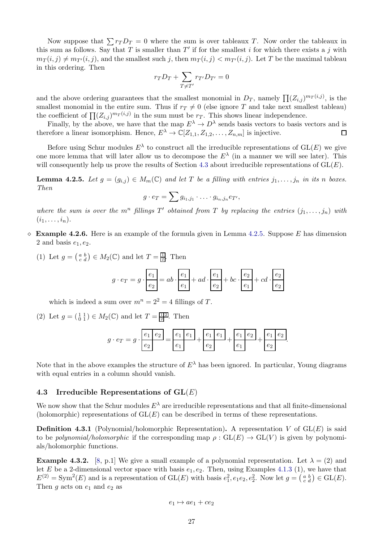Now suppose that  $\sum r_T D_T = 0$  where the sum is over tableaux T. Now order the tableaux in this sum as follows. Say that T is smaller than  $T'$  if for the smallest i for which there exists a j with  $m_T(i, j) \neq m_{T'}(i, j)$ , and the smallest such j, then  $m_T(i, j) < m_{T'}(i, j)$ . Let T be the maximal tableau in this ordering. Then

$$
r_T D_T + \sum_{T \neq T'} r_{T'} D_{T'} = 0
$$

and the above ordering guarantees that the smallest monomial in  $D_T$ , namely  $\prod (Z_{i,j})^{m_T(i,j)}$ , is the smallest monomial in the entire sum. Thus if  $r_T \neq 0$  (else ignore T and take next smallest tableau) the coefficient of  $\prod_{i,j} (Z_{i,j})^{m}$  in the sum must be  $r$ . This shows linear independence.

Finally, by the above, we have that the map  $E^{\lambda} \to D^{\lambda}$  sends basis vectors to basis vectors and is therefore a linear isomorphism. Hence,  $E^{\lambda} \to \mathbb{C}[Z_{1,1}, Z_{1,2}, \ldots, Z_{n,m}]$  is injective.  $\Box$ 

Before using Schur modules  $E^{\lambda}$  to construct all the irreducible representations of  $GL(E)$  we give one more lemma that will later allow us to decompose the  $E^{\lambda}$  (in a manner we will see later). This will consequently help us prove the results of Section [4.3](#page-26-0) about irreducible representations of  $GL(E)$ .

<span id="page-26-1"></span>**Lemma 4.2.5.** Let  $g = (g_{i,j}) \in M_m(\mathbb{C})$  and let T be a filling with entries  $j_1, \ldots, j_n$  in its n boxes. *Then*

$$
g \cdot e_T = \sum g_{i_1,j_1} \cdot \ldots \cdot g_{i_n,j_n} e_{T'},
$$

where the sum is over the  $m^n$  fillings  $T'$  obtained from  $T$  by replacing the entries  $(j_1, \ldots, j_n)$  with  $(i_1, \ldots, i_n)$ .

- <span id="page-26-2"></span> $\Diamond$  Example 4.2.6. Here is an example of the formula given in Lemma [4.2.5.](#page-26-1) Suppose E has dimension 2 and basis  $e_1, e_2$ .
	- (1) Let  $g = \begin{pmatrix} a & b \\ c & d \end{pmatrix} \in M_2(\mathbb{C})$  and let  $T = \frac{1}{2}$ . Then

$$
g \cdot e_T = g \cdot \frac{e_1}{e_2} = ab \cdot \frac{e_1}{e_1} + ad \cdot \frac{e_1}{e_2} + bc \cdot \frac{e_2}{e_1} + cd \cdot \frac{e_2}{e_2}
$$

which is indeed a sum over  $m^n = 2^2 = 4$  fillings of T.

(2) Let  $g = (\begin{smallmatrix} 1 & 1 \\ 0 & 1 \end{smallmatrix}) \in M_2(\mathbb{C})$  and let  $T = \frac{\boxed{12}}{2}$ . Then

$$
g \cdot e_T = g \cdot \frac{e_1 \cdot e_2}{e_2} = \frac{e_1 \cdot e_1}{e_1} + \frac{e_1 \cdot e_1}{e_2} + \frac{e_1 \cdot e_2}{e_1} + \frac{e_1 \cdot e_2}{e_2}.
$$

Note that in the above examples the structure of  $E^{\lambda}$  has been ignored. In particular, Young diagrams with equal entries in a column should vanish.

#### <span id="page-26-0"></span>4.3 Irreducible Representations of  $GL(E)$

We now show that the Schur modules  $E^{\lambda}$  are irreducible representations and that all finite-dimensional (holomorphic) representations of  $GL(E)$  can be described in terms of these representations.

**Definition 4.3.1** (Polynomial/holomorphic Representation). A representation V of  $GL(E)$  is said to be *polynomial/holomorphic* if the corresponding map  $\rho : GL(E) \to GL(V)$  is given by polynomials/holomorphic functions.

<span id="page-26-3"></span>**Example 4.3.2.** [\[8,](#page-40-5) p.1] We give a small example of a polynomial representation. Let  $\lambda = (2)$  and let E be a 2-dimensional vector space with basis  $e_1, e_2$ . Then, using Examples 4.1.3 (1), we have that  $E^{(2)} = \text{Sym}^2(E)$  and is a representation of  $GL(E)$  with basis  $e_1^2, e_1e_2, e_2^2$ . Now let  $g = \begin{pmatrix} a & b \\ c & d \end{pmatrix} \in GL(E)$ . Then  $g$  acts on  $e_1$  and  $e_2$  as

$$
e_1 \mapsto ae_1 + ce_2
$$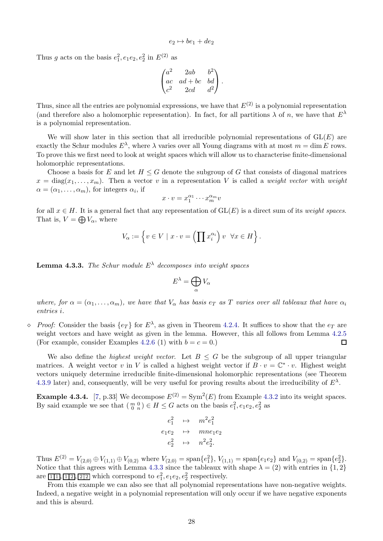$$
e_2 \mapsto be_1 + de_2
$$

Thus g acts on the basis  $e_1^2, e_1e_2, e_2^2$  in  $E^{(2)}$  as

$$
\begin{pmatrix} a^2 & 2ab & b^2 \ ac & ad+bc & bd \ c^2 & 2cd & d^2 \end{pmatrix}.
$$

Thus, since all the entries are polynomial expressions, we have that  $E^{(2)}$  is a polynomial representation (and therefore also a holomorphic representation). In fact, for all partitions  $\lambda$  of n, we have that  $E^{\lambda}$ is a polynomial representation.

We will show later in this section that all irreducible polynomial representations of  $GL(E)$  are exactly the Schur modules  $E^{\lambda}$ , where  $\lambda$  varies over all Young diagrams with at most  $m = \dim E$  rows. To prove this we first need to look at weight spaces which will allow us to characterise finite-dimensional holomorphic representations.

Choose a basis for E and let  $H \leq G$  denote the subgroup of G that consists of diagonal matrices  $x = \text{diag}(x_1, \ldots, x_m)$ . Then a vector v in a representation V is called a *weight vector* with *weight*  $\alpha = (\alpha_1, \ldots, \alpha_m)$ , for integers  $\alpha_i$ , if

$$
x \cdot v = x_1^{\alpha_1} \cdots x_m^{\alpha_m} v
$$

for all  $x \in H$ . It is a general fact that any representation of  $GL(E)$  is a direct sum of its *weight spaces*. That is,  $V = \bigoplus V_{\alpha}$ , where

$$
V_{\alpha} := \left\{ v \in V \mid x \cdot v = \left( \prod x_i^{\alpha_i} \right) v \quad \forall x \in H \right\}.
$$

<span id="page-27-0"></span>Lemma 4.3.3. *The Schur module* E<sup>λ</sup> *decomposes into weight spaces*

$$
E^{\lambda} = \bigoplus_{\alpha} V_{\alpha}
$$

*where, for*  $\alpha = (\alpha_1, \ldots, \alpha_m)$ , we have that  $V_\alpha$  has basis  $e_T$  as T varies over all tableaux that have  $\alpha_i$ *entries* i*.*

 $\Diamond$  *Proof:* Consider the basis  $\{e_T\}$  for  $E^{\lambda}$ , as given in Theorem [4.2.4.](#page-25-0) It suffices to show that the  $e_T$  are weight vectors and have weight as given in the lemma. However, this all follows from Lemma [4.2.5](#page-26-1) (For example, consider Examples [4.2.6](#page-26-2) (1) with  $b = c = 0$ .)  $\Box$ 

We also define the *highest weight vector*. Let  $B \leq G$  be the subgroup of all upper triangular matrices. A weight vector v in V is called a highest weight vector if  $B \cdot v = \mathbb{C}^* \cdot v$ . Highest weight vectors uniquely determine irreducible finite-dimensional holomorphic representations (see Theorem [4.3.9](#page-29-1) later) and, consequently, will be very useful for proving results about the irreducibility of  $E^{\lambda}$ .

**Example 4.3.4.** [\[7,](#page-40-6) p.33] We decompose  $E^{(2)} = \text{Sym}^2(E)$  from Example [4.3.2](#page-26-3) into its weight spaces. By said example we see that  $\left(\begin{smallmatrix} m&0\ 0&n \end{smallmatrix}\right) \in H \leq G$  acts on the basis  $e_1^2, e_1e_2, e_2^2$  as

$$
e_1^2 \rightarrow m^2 e_1^2
$$
  
\n
$$
e_1 e_2 \rightarrow m n e_1 e_2
$$
  
\n
$$
e_2^2 \rightarrow n^2 e_2^2.
$$

Thus  $E^{(2)} = V_{(2,0)} \oplus V_{(1,1)} \oplus V_{(0,2)}$  where  $V_{(2,0)} = \text{span}\{e_1^2\}$ ,  $V_{(1,1)} = \text{span}\{e_1e_2\}$  and  $V_{(0,2)} = \text{span}\{e_2^2\}$ . Notice that this agrees with Lemma [4.3.3](#page-27-0) since the tableaux with shape  $\lambda = (2)$  with entries in  $\{1, 2\}$ are  $\boxed{11}$ ,  $\boxed{12}$ ,  $\boxed{21}$  which correspond to  $e_1^2, e_1e_2, e_2^2$  respectively.

From this example we can also see that all polynomial representations have non-negative weights. Indeed, a negative weight in a polynomial representation will only occur if we have negative exponents and this is absurd.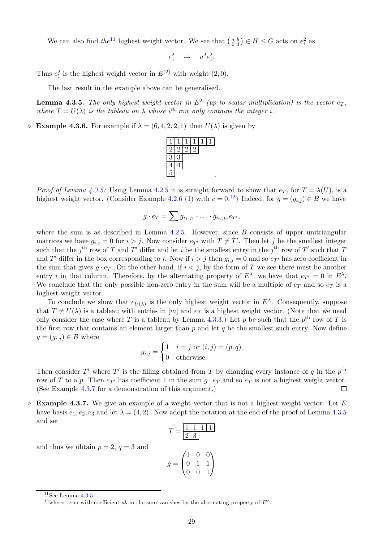We can also find *the*<sup>[11](#page-28-0)</sup> highest weight vector. We see that  $\begin{pmatrix} a & b \\ 0 & d \end{pmatrix} \in H \leq G$  acts on  $e_1^2$  as

$$
e_1^2 \quad \mapsto \quad a^2 e_1^2
$$

.

Thus  $e_1^2$  is the highest weight vector in  $E^{(2)}$  with weight  $(2,0)$ .

The last result in the example above can be generalised.

<span id="page-28-1"></span>**Lemma 4.3.5.** The only highest weight vector in  $E^{\lambda}$  (up to scalar multiplication) is the vector  $e_T$ , where  $T = U(\lambda)$  is the tableau on  $\lambda$  whose i<sup>th</sup> row only contains the integer i.

 $\Diamond$  **Example 4.3.6.** For example if  $\lambda = (6, 4, 2, 2, 1)$  then  $U(\lambda)$  is given by



*Proof of Lemma [4.3.5:](#page-28-1)* Using Lemma [4.2.5](#page-26-1) it is straight forward to show that  $e_T$ , for  $T = \lambda(U)$ , is a highest weight vector. (Consider Example [4.2.6](#page-26-2) (1) with  $c = 0.12$  $c = 0.12$ ) Indeed, for  $g = (g_{i,j}) \in B$  we have

$$
g \cdot e_T = \sum g_{i_1,j_1} \cdot \ldots \cdot g_{i_n,j_n} e_{T'},
$$

where the sum is as described in Lemma  $4.2.5$ . However, since B consists of upper unitriangular matrices we have  $g_{i,j} = 0$  for  $i > j$ . Now consider  $e_{T'}$  with  $T \neq T'$ . Then let j be the smallest integer such that the  $j<sup>th</sup>$  row of T and T' differ and let i be the smallest entry in the  $j<sup>th</sup>$  row of T' such that T and T' differ in the box corresponding to i. Now if  $i > j$  then  $g_{i,j} = 0$  and so  $e_{T'}$  has zero coefficient in the sum that gives  $g \cdot e_T$ . On the other hand, if  $i < j$ , by the form of T we see there must be another entry *i* in that column. Therefore, by the alternating property of  $E^{\lambda}$ , we have that  $e_{T'} = 0$  in  $E^{\lambda}$ . We conclude that the only possible non-zero entry in the sum will be a multiple of  $e_T$  and so  $e_T$  is a highest weight vector.

To conclude we show that  $e_{U(\lambda)}$  is the only highest weight vector in  $E^{\lambda}$ . Consequently, suppose that  $T \neq U(\lambda)$  is a tableau with entries in [m] and  $e_T$  is a highest weight vector. (Note that we need only consider the case where T is a tableau by Lemma [4.3.3.](#page-27-0)) Let p be such that the  $p<sup>th</sup>$  row of T is the first row that contains an element larger than  $p$  and let  $q$  be the smallest such entry. Now define  $g = (g_{i,j}) \in B$  where

$$
g_{i,j} = \begin{cases} 1 & i = j \text{ or } (i,j) = (p,q) \\ 0 & \text{otherwise.} \end{cases}
$$

Then consider T' where T' is the filling obtained from T by changing every instance of q in the  $p^{\text{th}}$ row of T to a p. Then  $e_{\mathcal{T}'}$  has coefficient 1 in the sum  $q \cdot e_{\mathcal{T}}$  and so  $e_{\mathcal{T}}$  is not a highest weight vector. (See Example [4.3.7](#page-28-3) for a demonstration of this argument.)  $\Box$ 

<span id="page-28-3"></span> $\Diamond$  Example 4.3.7. We give an example of a weight vector that is not a highest weight vector. Let E have basis  $e_1, e_2, e_3$  and let  $\lambda = (4, 2)$ . Now adopt the notation at the end of the proof of Lemma [4.3.5](#page-28-1) and set

| $\overline{T}$ |               | $\frac{1}{2}$ $\frac{1}{3}$ $\frac{1}{1}$ |                                      |  |
|----------------|---------------|-------------------------------------------|--------------------------------------|--|
|                |               |                                           |                                      |  |
|                |               |                                           |                                      |  |
|                | $\frac{1}{1}$ | $\begin{matrix}0\\1\end{matrix}$          | $\begin{matrix} 0 \\ 1 \end{matrix}$ |  |
|                |               |                                           |                                      |  |

and thus we obtain  $p = 2$ ,  $q = 3$  and

$$
g = \begin{pmatrix} 1 & 0 & 0 \\ 0 & 1 & 1 \\ 0 & 0 & 1 \end{pmatrix}
$$

 $11$ See Lemma [4.3.5.](#page-28-1)

<span id="page-28-2"></span><span id="page-28-0"></span><sup>&</sup>lt;sup>12</sup> where term with coefficient ab in the sum vanishes by the alternating property of  $E^{\lambda}$ .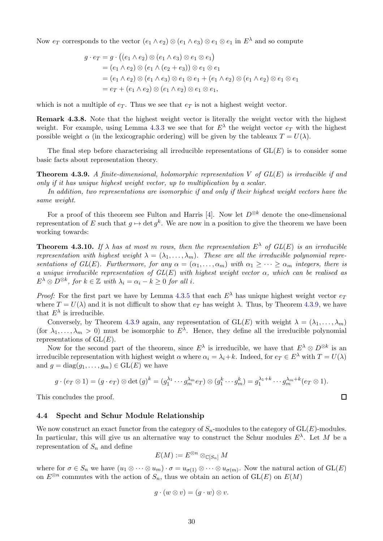Now  $e_T$  corresponds to the vector  $(e_1 \wedge e_2) \otimes (e_1 \wedge e_3) \otimes e_1 \otimes e_1$  in  $E^{\lambda}$  and so compute

$$
g \cdot e_T = g \cdot ((e_1 \wedge e_2) \otimes (e_1 \wedge e_3) \otimes e_1 \otimes e_1)
$$
  
=  $(e_1 \wedge e_2) \otimes (e_1 \wedge (e_2 + e_3)) \otimes e_1 \otimes e_1$   
=  $(e_1 \wedge e_2) \otimes (e_1 \wedge e_3) \otimes e_1 \otimes e_1 + (e_1 \wedge e_2) \otimes (e_1 \wedge e_2) \otimes e_1 \otimes e_1$   
=  $e_T + (e_1 \wedge e_2) \otimes (e_1 \wedge e_2) \otimes e_1 \otimes e_1$ ,

which is not a multiple of  $e_T$ . Thus we see that  $e_T$  is not a highest weight vector.

Remark 4.3.8. Note that the highest weight vector is literally the weight vector with the highest weight. For example, using Lemma [4.3.3](#page-27-0) we see that for  $E^{\lambda}$  the weight vector  $e_T$  with the highest possible weight  $\alpha$  (in the lexicographic ordering) will be given by the tableaux  $T = U(\lambda)$ .

The final step before characterising all irreducible representations of  $GL(E)$  is to consider some basic facts about representation theory.

<span id="page-29-1"></span>Theorem 4.3.9. *A finite-dimensional, holomorphic representation* V *of GL*(E) *is irreducible if and only if it has unique highest weight vector, up to multiplication by a scalar.*

*In addition, two representations are isomorphic if and only if their highest weight vectors have the same weight.*

For a proof of this theorem see Fulton and Harris [\[4\]](#page-40-3). Now let  $D^{\otimes k}$  denote the one-dimensional representation of E such that  $g \mapsto \det g^k$ . We are now in a position to give the theorem we have been working towards:

<span id="page-29-2"></span>**Theorem 4.3.10.** If  $\lambda$  has at most m rows, then the representation  $E^{\lambda}$  of  $GL(E)$  is an irreducible *representation with highest weight*  $\lambda = (\lambda_1, \dots, \lambda_m)$ . These are all the irreducible polynomial repre*sentations of GL(E). Furthermore, for any*  $\alpha = (\alpha_1, \dots, \alpha_m)$  *with*  $\alpha_1 \geq \dots \geq \alpha_m$  *integers, there is a unique irreducible representation of GL*(E) *with highest weight vector* α*, which can be realised as*  $E^{\lambda} \otimes D^{\otimes k}$ , for  $k \in \mathbb{Z}$  with  $\lambda_i = \alpha_i - k \geq 0$  for all *i*.

*Proof:* For the first part we have by Lemma [4.3.5](#page-28-1) that each  $E^{\lambda}$  has unique highest weight vector  $e_T$ where  $T = U(\lambda)$  and it is not difficult to show that  $e_T$  has weight  $\lambda$ . Thus, by Theorem [4.3.9,](#page-29-1) we have that  $E^{\lambda}$  is irreducible.

Conversely, by Theorem [4.3.9](#page-29-1) again, any representation of  $GL(E)$  with weight  $\lambda = (\lambda_1, \ldots, \lambda_m)$ (for  $\lambda_1, \ldots, \lambda_m > 0$ ) must be isomorphic to  $E^{\lambda}$ . Hence, they define all the irreducible polynomial representations of  $GL(E)$ .

Now for the second part of the theorem, since  $E^{\lambda}$  is irreducible, we have that  $E^{\lambda} \otimes D^{\otimes k}$  is an irreducible representation with highest weight  $\alpha$  where  $\alpha_i = \lambda_i + k$ . Indeed, for  $e_T \in E^{\lambda}$  with  $T = U(\lambda)$ and  $g = diag(g_1, \ldots, g_m) \in GL(E)$  we have

$$
g \cdot (e_T \otimes 1) = (g \cdot e_T) \otimes \det(g)^k = (g_1^{\lambda_1} \cdots g_m^{\lambda_m} e_T) \otimes (g_1^k \cdots g_m^k) = g_1^{\lambda_1 + k} \cdots g_m^{\lambda_m + k} (e_T \otimes 1).
$$

 $\Box$ 

This concludes the proof.

#### <span id="page-29-0"></span>4.4 Specht and Schur Module Relationship

We now construct an exact functor from the category of  $S_n$ -modules to the category of  $GL(E)$ -modules. In particular, this will give us an alternative way to construct the Schur modules  $E^{\lambda}$ . Let M be a representation of  $S_n$  and define

$$
E(M):=E^{\otimes n}\otimes_{\mathbb{C}[S_n]}M
$$

where for  $\sigma \in S_n$  we have  $(u_1 \otimes \cdots \otimes u_m) \cdot \sigma = u_{\sigma(1)} \otimes \cdots \otimes u_{\sigma(m)}$ . Now the natural action of  $GL(E)$ on  $E^{\otimes n}$  commutes with the action of  $S_n$ , thus we obtain an action of  $\operatorname{GL}(E)$  on  $E(M)$ 

$$
g \cdot (w \otimes v) = (g \cdot w) \otimes v.
$$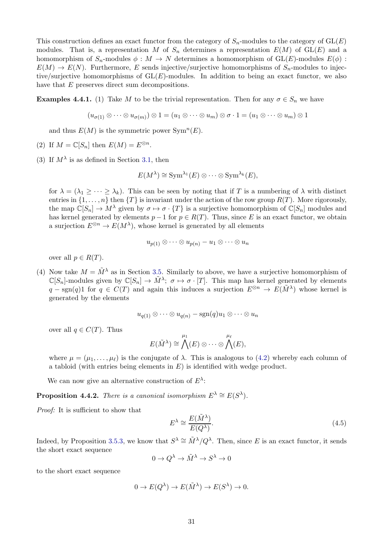This construction defines an exact functor from the category of  $S_n$ -modules to the category of  $GL(E)$ modules. That is, a representation M of  $S_n$  determines a representation  $E(M)$  of  $GL(E)$  and a homomorphism of  $S_n$ -modules  $\phi : M \to N$  determines a homomorphism of  $GL(E)$ -modules  $E(\phi)$ :  $E(M) \to E(N)$ . Furthermore, E sends injective/surjective homomorphisms of  $S_n$ -modules to injective/surjective homomorphisms of  $GL(E)$ -modules. In addition to being an exact functor, we also have that E preserves direct sum decompositions.

**Examples 4.4.1.** (1) Take M to be the trivial representation. Then for any  $\sigma \in S_n$  we have

$$
(u_{\sigma(1)} \otimes \cdots \otimes u_{\sigma(m)}) \otimes 1 = (u_1 \otimes \cdots \otimes u_m) \otimes \sigma \cdot 1 = (u_1 \otimes \cdots \otimes u_m) \otimes 1
$$

and thus  $E(M)$  is the symmetric power  $\text{Sym}^n(E)$ .

- (2) If  $M = \mathbb{C}[S_n]$  then  $E(M) = E^{\otimes n}$ .
- (3) If  $M^{\lambda}$  is as defined in Section [3.1,](#page-10-1) then

$$
E(M^{\lambda}) \cong \text{Sym}^{\lambda_1}(E) \otimes \cdots \otimes \text{Sym}^{\lambda_k}(E),
$$

for  $\lambda = (\lambda_1 \geq \cdots \geq \lambda_k)$ . This can be seen by noting that if T is a numbering of  $\lambda$  with distinct entries in  $\{1,\ldots,n\}$  then  $\{T\}$  is invariant under the action of the row group  $R(T)$ . More rigorously, the map  $\mathbb{C}[S_n] \to M^{\lambda}$  given by  $\sigma \mapsto \sigma \cdot \{T\}$  is a surjective homomorphism of  $\mathbb{C}[S_n]$  modules and has kernel generated by elements  $p-1$  for  $p \in R(T)$ . Thus, since E is an exact functor, we obtain a surjection  $E^{\otimes n} \to E(M^{\lambda})$ , whose kernel is generated by all elements

$$
u_{p(1)} \otimes \cdots \otimes u_{p(n)} - u_1 \otimes \cdots \otimes u_n
$$

over all  $p \in R(T)$ .

(4) Now take  $M = \tilde{M}^{\lambda}$  as in Section [3.5.](#page-18-0) Similarly to above, we have a surjective homomorphism of  $\mathbb{C}[S_n]$ -modules given by  $\mathbb{C}[S_n] \to \tilde{M}^{\lambda}$ ;  $\sigma \mapsto \sigma \cdot [T]$ . This map has kernel generated by elements  $q - sgn(q)1$  for  $q \in C(T)$  and again this induces a surjection  $E^{\otimes n} \to E(\tilde{M}^{\lambda})$  whose kernel is generated by the elements

$$
u_{q(1)} \otimes \cdots \otimes u_{q(n)} - \mathrm{sgn}(q)u_1 \otimes \cdots \otimes u_n
$$

over all  $q \in C(T)$ . Thus

$$
E(\tilde{M}^{\lambda}) \cong \bigwedge^{\mu_1}(E) \otimes \cdots \otimes \bigwedge^{\mu_\ell}(E),
$$

where  $\mu = (\mu_1, \dots, \mu_\ell)$  is the conjugate of  $\lambda$ . This is analogous to [\(4.2\)](#page-23-3) whereby each column of a tabloid (with entries being elements in  $E$ ) is identified with wedge product.

We can now give an alternative construction of  $E^{\lambda}$ :

<span id="page-30-0"></span>**Proposition 4.4.2.** *There is a canonical isomorphism*  $E^{\lambda} \cong E(S^{\lambda})$ *.* 

*Proof:* It is sufficient to show that

<span id="page-30-1"></span>
$$
E^{\lambda} \cong \frac{E(\tilde{M}^{\lambda})}{E(Q^{\lambda})}.
$$
\n(4.5)

Indeed, by Proposition [3.5.3,](#page-20-2) we know that  $S^{\lambda} \cong \tilde{M}^{\lambda}/Q^{\lambda}$ . Then, since E is an exact functor, it sends the short exact sequence

$$
0 \to Q^{\lambda} \to \tilde{M}^{\lambda} \to S^{\lambda} \to 0
$$

to the short exact sequence

$$
0 \to E(Q^{\lambda}) \to E(\tilde{M}^{\lambda}) \to E(S^{\lambda}) \to 0.
$$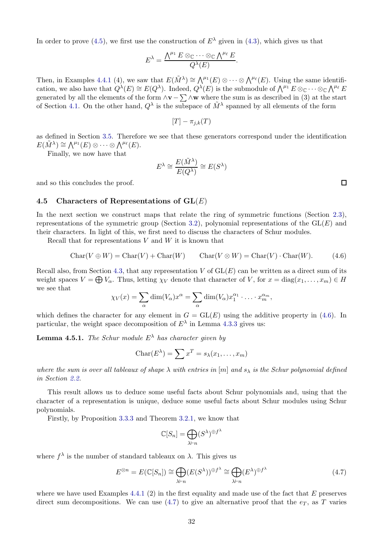In order to prove [\(4.5\)](#page-30-1), we first use the construction of  $E^{\lambda}$  given in [\(4.3\)](#page-23-1), which gives us that

$$
E^{\lambda} = \frac{\bigwedge^{\mu_1} E \otimes_{\mathbb{C}} \cdots \otimes_{\mathbb{C}} \bigwedge^{\mu_{\ell}} E}{Q^{\lambda}(E)}.
$$

Then, in Examples 4.4.1 (4), we saw that  $E(\tilde{M}^{\lambda}) \cong \bigwedge^{\mu_1}(E) \otimes \cdots \otimes \bigwedge^{\mu_\ell}(E)$ . Using the same identification, we also have that  $Q^{\lambda}(E) \cong E(Q^{\lambda})$ . Indeed,  $Q^{\lambda}(E)$  is the submodule of  $\bigwedge^{\mu_1} E \otimes_{\mathbb{C}} \cdots \otimes_{\mathbb{C}} \bigwedge^{\mu_\ell} E$ generated by all the elements of the form  $\wedge$ v –  $\sum \wedge$ w where the sum is as described in (3) at the start of Section [4.1.](#page-22-1) On the other hand,  $Q^{\lambda}$  is the subspace of  $\tilde{M}^{\lambda}$  spanned by all elements of the form

 $[T] - \pi_{i,k}(T)$ 

as defined in Section [3.5.](#page-18-0) Therefore we see that these generators correspond under the identification  $E(\tilde{M}^{\lambda}) \cong \bigwedge^{\mu_1}(E) \otimes \cdots \otimes \bigwedge^{\mu_\ell}(E).$ 

Finally, we now have that

$$
E^{\lambda} \cong \frac{E(\tilde{M}^{\lambda})}{E(Q^{\lambda})} \cong E(S^{\lambda})
$$

<span id="page-31-0"></span>and so this concludes the proof.

#### 4.5 Characters of Representations of  $GL(E)$

In the next section we construct maps that relate the ring of symmetric functions (Section [2.3\)](#page-9-0), representations of the symmetric group (Section [3.2\)](#page-12-0), polynomial representations of the  $GL(E)$  and their characters. In light of this, we first need to discuss the characters of Schur modules.

Recall that for representations  $V$  and  $W$  it is known that

<span id="page-31-1"></span>
$$
Char(V \oplus W) = Char(V) + Char(W) \qquad Char(V \otimes W) = Char(V) \cdot Char(W). \tag{4.6}
$$

Recall also, from Section [4.3,](#page-26-0) that any representation  $V$  of  $GL(E)$  can be written as a direct sum of its weight spaces  $V = \bigoplus V_{\alpha}$ . Thus, letting  $\chi_V$  denote that character of V, for  $x = diag(x_1, \ldots, x_m) \in H$ we see that

$$
\chi_V(x) = \sum_{\alpha} \dim(V_{\alpha}) x^{\alpha} = \sum_{\alpha} \dim(V_{\alpha}) x_1^{\alpha_1} \cdot \ldots \cdot x_m^{\alpha_m},
$$

which defines the character for any element in  $G = GL(E)$  using the additive property in [\(4.6\)](#page-31-1). In particular, the weight space decomposition of  $E^{\lambda}$  in Lemma [4.3.3](#page-27-0) gives us:

<span id="page-31-3"></span>**Lemma 4.5.1.** *The Schur module*  $E^{\lambda}$  *has character given by* 

$$
Char(E^{\lambda}) = \sum x^T = s_{\lambda}(x_1, \dots, x_m)
$$

*where the sum is over all tableaux of shape*  $\lambda$  *with entries in* [m] *and*  $s_\lambda$  *is the Schur polynomial defined in Section [2.2.](#page-6-0)*

This result allows us to deduce some useful facts about Schur polynomials and, using that the character of a representation is unique, deduce some useful facts about Schur modules using Schur polynomials.

Firstly, by Proposition [3.3.3](#page-15-3) and Theorem [3.2.1,](#page-12-2) we know that

$$
\mathbb{C}[S_n] = \bigoplus_{\lambda \vdash n} (S^{\lambda})^{\oplus f^{\lambda}}
$$

where  $f^{\lambda}$  is the number of standard tableaux on  $\lambda$ . This gives us

<span id="page-31-2"></span>
$$
E^{\otimes n} = E(\mathbb{C}[S_n]) \cong \bigoplus_{\lambda \vdash n} (E(S^{\lambda}))^{\oplus f^{\lambda}} \cong \bigoplus_{\lambda \vdash n} (E^{\lambda})^{\oplus f^{\lambda}} \tag{4.7}
$$

where we have used Examples 4.4.1 (2) in the first equality and made use of the fact that  $E$  preserves direct sum decompositions. We can use  $(4.7)$  to give an alternative proof that the  $e_T$ , as T varies

 $\Box$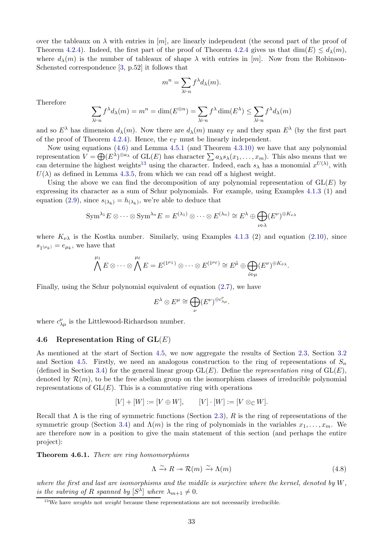over the tableaux on  $\lambda$  with entries in [m], are linearly independent (the second part of the proof of Theorem [4.2.4\)](#page-25-0). Indeed, the first part of the proof of Theorem [4.2.4](#page-25-0) gives us that  $\dim(E) \leq d_{\lambda}(m)$ , where  $d_{\lambda}(m)$  is the number of tableaux of shape  $\lambda$  with entries in [m]. Now from the Robinson-Schensted correspondence [\[3,](#page-40-0) p.52] it follows that

$$
m^n = \sum_{\lambda \vdash n} f^{\lambda} d_{\lambda}(m).
$$

Therefore

$$
\sum_{\lambda \vdash n} f^{\lambda} d_{\lambda}(m) = m^n = \dim(E^{\otimes n}) = \sum_{\lambda \vdash n} f^{\lambda} \dim(E^{\lambda}) \le \sum_{\lambda \vdash n} f^{\lambda} d_{\lambda}(m)
$$

and so  $E^{\lambda}$  has dimension  $d_{\lambda}(m)$ . Now there are  $d_{\lambda}(m)$  many  $e_T$  and they span  $E^{\lambda}$  (by the first part of the proof of Theorem [4.2.4\)](#page-25-0). Hence, the  $e_T$  must be linearly independent.

Now using equations [\(4.6\)](#page-31-1) and Lemma [4.5.1](#page-31-3) (and Theorem [4.3.10\)](#page-29-2) we have that any polynomial representation  $V = \bigoplus (E^{\lambda})^{\oplus a_{\lambda}}$  of  $GL(E)$  has character  $\sum a_{\lambda} s_{\lambda}(x_1, \ldots, x_m)$ . This also means that we can determine the highest weights<sup>[13](#page-32-1)</sup> using the character. Indeed, each  $s_\lambda$  has a monomial  $x^{U(\lambda)}$ , with  $U(\lambda)$  as defined in Lemma [4.3.5,](#page-28-1) from which we can read off a highest weight.

Using the above we can find the decomposition of any polynomial representation of  $GL(E)$  by expressing its character as a sum of Schur polynomials. For example, using Examples 4.1.3 (1) and equation [\(2.9\)](#page-9-2), since  $s_{(\lambda_k)} = h_{(\lambda_k)}$ , we're able to deduce that

$$
\mathrm{Sym}^{\lambda_1} E \otimes \cdots \otimes \mathrm{Sym}^{\lambda_n} E = E^{(\lambda_1)} \otimes \cdots \otimes E^{(\lambda_n)} \cong E^{\lambda} \oplus \bigoplus_{\nu \triangleright \lambda} (E^{\nu})^{\oplus K_{\nu \lambda}}
$$

where  $K_{\nu\lambda}$  is the Kostka number. Similarly, using Examples 4.1.3 (2) and equation [\(2.10\)](#page-9-3), since  $s_{1(\mu_k)} = e_{\mu_k}$ , we have that

$$
\bigwedge^{\mu_1} E \otimes \cdots \otimes \bigwedge^{\mu_\ell} E = E^{(1^{\mu_1})} \otimes \cdots \otimes E^{(1^{\mu_\ell})} \cong E^{\tilde{\mu}} \oplus \bigoplus_{\tilde{\nu} \triangleright \mu} (E^{\nu})^{\oplus K_{\tilde{\nu}} \lambda}.
$$

Finally, using the Schur polynomial equivalent of equation [\(2.7\)](#page-7-4), we have

$$
E^{\lambda} \otimes E^{\mu} \cong \bigoplus_{\nu} (E^{\nu})^{\oplus c_{\lambda\mu}^{\nu}}.
$$

where  $c^{\nu}_{\lambda\mu}$  is the Littlewood-Richardson number.

#### <span id="page-32-0"></span>4.6 Representation Ring of  $GL(E)$

As mentioned at the start of Section [4.5,](#page-31-0) we now aggregate the results of Section [2.3,](#page-9-0) Section [3.2](#page-12-0) and Section [4.5.](#page-31-0) Firstly, we need an analogous construction to the ring of representations of  $S_n$ (defined in Section [3.4\)](#page-16-0) for the general linear group  $GL(E)$ . Define the *representation ring* of  $GL(E)$ , denoted by  $\mathcal{R}(m)$ , to be the free abelian group on the isomorphism classes of irreducible polynomial representations of  $GL(E)$ . This is a commutative ring with operations

$$
[V] + [W] := [V \oplus W], \qquad [V] \cdot [W] := [V \otimes_{\mathbb{C}} W].
$$

Recall that  $\Lambda$  is the ring of symmetric functions (Section [2.3\)](#page-9-0), R is the ring of representations of the symmetric group (Section [3.4\)](#page-16-0) and  $\Lambda(m)$  is the ring of polynomials in the variables  $x_1, \ldots, x_m$ . We are therefore now in a position to give the main statement of this section (and perhaps the entire project):

<span id="page-32-2"></span>Theorem 4.6.1. *There are ring homomorphisms*

$$
\Lambda \xrightarrow{\sim} R \twoheadrightarrow \mathcal{R}(m) \xrightarrow{\sim} \Lambda(m) \tag{4.8}
$$

*where the first and last are isomorphisms and the middle is surjective where the kernel, denoted by* W*, is the subring of* R *spanned by*  $[S^{\lambda}]$  *where*  $\lambda_{m+1} \neq 0$ *.* 

<span id="page-32-1"></span> $13$ We have *weights* not *weight* because these representations are not necessarily irreducible.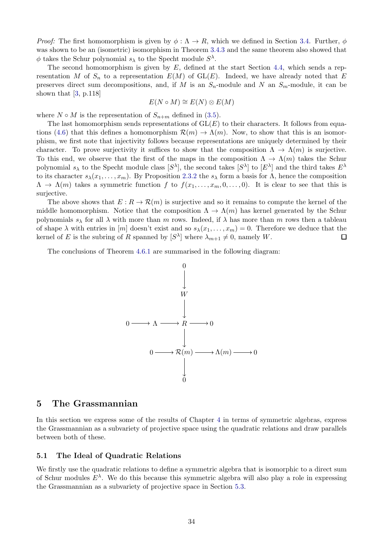*Proof:* The first homomorphism is given by  $\phi : \Lambda \to R$ , which we defined in Section [3.4.](#page-16-0) Further,  $\phi$ was shown to be an (isometric) isomorphism in Theorem [3.4.3](#page-17-3) and the same theorem also showed that  $\phi$  takes the Schur polynomial  $s_{\lambda}$  to the Specht module  $S^{\lambda}$ .

The second homomorphism is given by  $E$ , defined at the start Section [4.4,](#page-29-0) which sends a representation M of  $S_n$  to a representation  $E(M)$  of  $GL(E)$ . Indeed, we have already noted that E preserves direct sum decompositions, and, if M is an  $S_n$ -module and N an  $S_m$ -module, it can be shown that [\[3,](#page-40-0) p.118]

$$
E(N \circ M) \cong E(N) \otimes E(M)
$$

where  $N \circ M$  is the representation of  $S_{n+m}$  defined in [\(3.5\)](#page-16-1).

The last homomorphism sends representations of  $GL(E)$  to their characters. It follows from equa-tions [\(4.6\)](#page-31-1) that this defines a homomorphism  $\mathcal{R}(m) \to \Lambda(m)$ . Now, to show that this is an isomorphism, we first note that injectivity follows because representations are uniquely determined by their character. To prove surjectivity it suffices to show that the composition  $\Lambda \to \Lambda(m)$  is surjective. To this end, we observe that the first of the maps in the composition  $\Lambda \to \Lambda(m)$  takes the Schur polynomial  $s_\lambda$  to the Specht module class  $[S^\lambda]$ , the second takes  $[S^\lambda]$  to  $[E^\lambda]$  and the third takes  $E^\lambda$ to its character  $s_\lambda(x_1,\ldots,x_m)$ . By Proposition [2.3.2](#page-9-4) the  $s_\lambda$  form a basis for  $\Lambda$ , hence the composition  $\Lambda \to \Lambda(m)$  takes a symmetric function f to  $f(x_1, \ldots, x_m, 0, \ldots, 0)$ . It is clear to see that this is surjective.

The above shows that  $E: \mathbb{R} \to \mathcal{R}(m)$  is surjective and so it remains to compute the kernel of the middle homomorphism. Notice that the composition  $\Lambda \to \Lambda(m)$  has kernel generated by the Schur polynomials  $s_\lambda$  for all  $\lambda$  with more than m rows. Indeed, if  $\lambda$  has more than m rows then a tableau of shape  $\lambda$  with entries in [m] doesn't exist and so  $s_{\lambda}(x_1, \ldots, x_m) = 0$ . Therefore we deduce that the kernel of E is the subring of R spanned by  $[S^{\lambda}]$  where  $\lambda_{m+1} \neq 0$ , namely W.  $\Box$ 

The conclusions of Theorem [4.6.1](#page-32-2) are summarised in the following diagram:



### <span id="page-33-0"></span>5 The Grassmannian

In this section we express some of the results of Chapter [4](#page-22-0) in terms of symmetric algebras, express the Grassmannian as a subvariety of projective space using the quadratic relations and draw parallels between both of these.

#### <span id="page-33-1"></span>5.1 The Ideal of Quadratic Relations

We firstly use the quadratic relations to define a symmetric algebra that is isomorphic to a direct sum of Schur modules  $E^{\lambda}$ . We do this because this symmetric algebra will also play a role in expressing the Grassmannian as a subvariety of projective space in Section [5.3.](#page-37-0)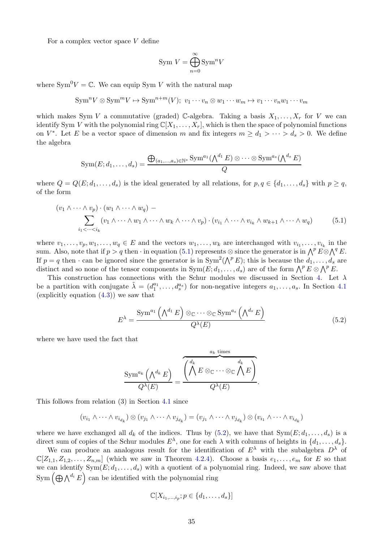For a complex vector space  $V$  define

$$
Sym\ V = \bigoplus_{n=0}^{\infty} Sym^n V
$$

where  $\text{Sym}^0 V = \mathbb{C}$ . We can equip Sym V with the natural map

$$
\text{Sym}^n V \otimes \text{Sym}^m V \mapsto \text{Sym}^{n+m}(V); \ v_1 \cdots v_n \otimes w_1 \cdots w_m \mapsto v_1 \cdots v_n w_1 \cdots v_m
$$

which makes Sym V a commutative (graded) C-algebra. Taking a basis  $X_1, \ldots, X_r$  for V we can identify Sym V with the polynomial ring  $\mathbb{C}[X_1,\ldots,X_r]$ , which is then the space of polynomial functions on  $V^*$ . Let E be a vector space of dimension m and fix integers  $m \geq d_1 > \cdots > d_s > 0$ . We define the algebra

$$
Sym(E; d_1, \ldots, d_s) = \frac{\bigoplus_{(a_1, \ldots, a_s) \in \mathbb{N}^s} Sym^{a_1}(\bigwedge^{d_1} E) \otimes \cdots \otimes Sym^{a_s}(\bigwedge^{d_s} E)}{Q}
$$

where  $Q = Q(E; d_1, \ldots, d_s)$  is the ideal generated by all relations, for  $p, q \in \{d_1, \ldots, d_s\}$  with  $p \geq q$ , of the form

$$
(v_1 \wedge \cdots \wedge v_p) \cdot (w_1 \wedge \cdots \wedge w_q) - \sum_{i_1 < \cdots < i_k} (v_1 \wedge \cdots \wedge w_1 \wedge \cdots \wedge w_k \wedge \cdots \wedge v_p) \cdot (v_{i_1} \wedge \cdots \wedge v_{i_k} \wedge w_{k+1} \wedge \cdots \wedge w_q) \tag{5.1}
$$

where  $v_1, \ldots, v_p, w_1, \ldots, w_q \in E$  and the vectors  $w_1, \ldots, w_k$  are interchanged with  $v_{i_1}, \ldots, v_{i_k}$  in the sum. Also, note that if  $p > q$  then  $\cdot$  in equation [\(5.1\)](#page-34-0) represents  $\otimes$  since the generator is in  $\bigwedge^p E \otimes \bigwedge^q E$ . If  $p = q$  then  $\cdot$  can be ignored since the generator is in  $Sym^2(\bigwedge^p E)$ ; this is because the  $d_1, \ldots, d_s$  are distinct and so none of the tensor components in  $\text{Sym}(E; d_1, \ldots, d_s)$  are of the form  $\bigwedge^p E \otimes \bigwedge^p E$ .

This construction has connections with the Schur modules we discussed in Section [4.](#page-22-0) Let  $\lambda$ be a partition with conjugate  $\tilde{\lambda} = (d_1^{a_1}, \ldots, d_s^{a_s})$  for non-negative integers  $a_1, \ldots, a_s$ . In Section [4.1](#page-22-1) (explicitly equation [\(4.3\)](#page-23-1)) we saw that

<span id="page-34-1"></span><span id="page-34-0"></span>
$$
E^{\lambda} = \frac{\text{Sym}^{a_1}(\Lambda^{d_1} E) \otimes_{\mathbb{C}} \cdots \otimes_{\mathbb{C}} \text{Sym}^{a_s}(\Lambda^{d_s} E)}{Q^{\lambda}(E)}
$$
(5.2)

where we have used the fact that

$$
\frac{\text{Sym}^{a_k}(\bigwedge^{d_k} E)}{Q^{\lambda}(E)} = \frac{\overbrace{\begin{pmatrix}d_k & d_k \\ \bigwedge^k E\otimes_{\mathbb{C}} \cdots \otimes_{\mathbb{C}} \bigwedge^k E \\ Q^{\lambda}(E) \end{pmatrix}}^{a_k \text{ times}}}{Q^{\lambda}(E)}.
$$

This follows from relation (3) in Section [4.1](#page-22-1) since

$$
(v_{i_1} \wedge \cdots \wedge v_{i_{d_k}}) \otimes (v_{j_1} \wedge \cdots \wedge v_{j_{d_k}}) = (v_{j_1} \wedge \cdots \wedge v_{j_{d_k}}) \otimes (v_{i_1} \wedge \cdots \wedge v_{i_{d_k}})
$$

where we have exchanged all  $d_k$  of the indices. Thus by [\(5.2\)](#page-34-1), we have that  $Sym(E; d_1, \ldots, d_s)$  is a direct sum of copies of the Schur modules  $E^{\lambda}$ , one for each  $\lambda$  with columns of heights in  $\{d_1, \ldots, d_s\}$ .

We can produce an analogous result for the identification of  $E^{\lambda}$  with the subalgebra  $D^{\lambda}$  of  $\mathbb{C}[Z_{1,1}, Z_{1,2}, \ldots, Z_{n,m}]$  (which we saw in Theorem [4.2.4\)](#page-25-0). Choose a basis  $e_1, \ldots, e_m$  for E so that we can identify  $Sym(E; d_1, \ldots, d_s)$  with a quotient of a polynomial ring. Indeed, we saw above that  $\text{Sym}\left(\bigoplus \bigwedge^{d_i} E\right)$  can be identified with the polynomial ring

$$
\mathbb{C}[X_{i_1,\ldots,i_p};p\in\{d_1,\ldots,d_s\}]
$$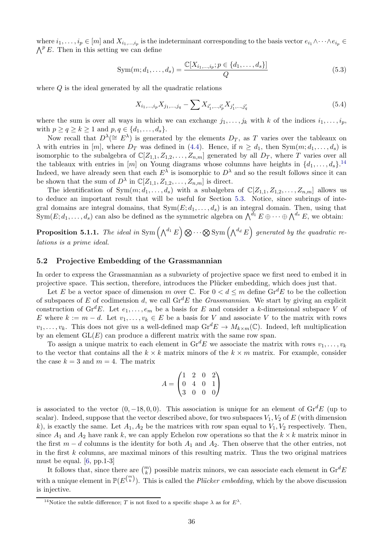where  $i_1, \ldots, i_p \in [m]$  and  $X_{i_1,\ldots,i_p}$  is the indeterminant corresponding to the basis vector  $e_{i_1} \wedge \cdots \wedge e_{i_p} \in$  $\bigwedge^p E$ . Then in this setting we can define

$$
Sym(m; d_1, ..., d_s) = \frac{\mathbb{C}[X_{i_1,...,i_p}; p \in \{d_1,...,d_s\}]}{Q}
$$
\n(5.3)

where  $Q$  is the ideal generated by all the quadratic relations

$$
X_{i_1,\dots,i_p} X_{j_1,\dots,j_q} - \sum X_{i'_1,\dots,i'_p} X_{j'_1,\dots,j'_q} \tag{5.4}
$$

where the sum is over all ways in which we can exchange  $j_1, \ldots, j_k$  with k of the indices  $i_1, \ldots, i_p$ , with  $p \ge q \ge k \ge 1$  and  $p, q \in \{d_1, \ldots, d_s\}.$ 

Now recall that  $D^{\lambda}(\cong E^{\lambda})$  is generated by the elements  $D_T$ , as T varies over the tableaux on  $\lambda$  with entries in [m], where  $D_T$  was defined in [\(4.4\)](#page-24-3). Hence, if  $n \geq d_1$ , then  $Sym(m; d_1, \ldots, d_s)$  is isomorphic to the subalgebra of  $\mathbb{C}[Z_{1,1}, Z_{1,2}, \ldots, Z_{n,m}]$  generated by all  $D_T$ , where T varies over all the tableaux with entries in  $[m]$  on Young diagrams whose columns have heights in  $\{d_1, \ldots, d_s\}$ .<sup>[14](#page-35-1)</sup> Indeed, we have already seen that each  $E^{\lambda}$  is isomorphic to  $D^{\lambda}$  and so the result follows since it can be shown that the sum of  $D^{\lambda}$  in  $\mathbb{C}[Z_{1,1}, Z_{1,2}, \ldots, Z_{n,m}]$  is direct.

The identification of  $Sym(m; d_1, \ldots, d_s)$  with a subalgebra of  $\mathbb{C}[Z_{1,1}, Z_{1,2}, \ldots, Z_{n,m}]$  allows us to deduce an important result that will be useful for Section [5.3.](#page-37-0) Notice, since subrings of integral domains are integral domains, that  $Sym(E; d_1, \ldots, d_s)$  is an integral domain. Then, using that Sym $(E; d_1, \ldots, d_s)$  can also be defined as the symmetric algebra on  $\bigwedge^{d_1} E \oplus \cdots \oplus \bigwedge^{d_s} E$ , we obtain:

<span id="page-35-2"></span>**Proposition 5.1.1.** The ideal in Sym  $(\bigwedge^{d_1} E) \otimes \cdots \otimes$  Sym  $(\bigwedge^{d_d} E)$  generated by the quadratic re*lations is a prime ideal.*

#### <span id="page-35-0"></span>5.2 Projective Embedding of the Grassmannian

In order to express the Grassmannian as a subvariety of projective space we first need to embed it in projective space. This section, therefore, introduces the Plücker embedding, which does just that.

Let E be a vector space of dimension m over  $\mathbb{C}$ . For  $0 < d \le m$  define  $\text{Gr}^dE$  to be the collection of subspaces of E of codimension d, we call  $\mathrm{Gr}^d E$  the *Grassmannian*. We start by giving an explicit construction of  $\mathrm{Gr}^d E$ . Let  $e_1, \ldots, e_m$  be a basis for E and consider a k-dimensional subspace V of E where  $k := m - d$ . Let  $v_1, \ldots, v_k \in E$  be a basis for V and associate V to the matrix with rows  $v_1, \ldots, v_k$ . This does not give us a well-defined map  $\text{Gr}^d E \to M_{k \times m}(\mathbb{C})$ . Indeed, left multiplication by an element  $GL(E)$  can produce a different matrix with the same row span.

To assign a unique matrix to each element in  $\mathrm{Gr}^d E$  we associate the matrix with rows  $v_1, \ldots, v_k$ to the vector that contains all the  $k \times k$  matrix minors of the  $k \times m$  matrix. For example, consider the case  $k = 3$  and  $m = 4$ . The matrix

$$
A = \begin{pmatrix} 1 & 2 & 0 & 2 \\ 0 & 4 & 0 & 1 \\ 3 & 0 & 0 & 0 \end{pmatrix}
$$

is associated to the vector  $(0, -18, 0, 0)$ . This association is unique for an element of Gr<sup>d</sup>E (up to scalar). Indeed, suppose that the vector described above, for two subspaces  $V_1$ ,  $V_2$  of E (with dimension k), is exactly the same. Let  $A_1, A_2$  be the matrices with row span equal to  $V_1, V_2$  respectively. Then, since  $A_1$  and  $A_2$  have rank k, we can apply Echelon row operations so that the  $k \times k$  matrix minor in the first  $m - d$  columns is the identity for both  $A_1$  and  $A_2$ . Then observe that the other entries, not in the first  $k$  columns, are maximal minors of this resulting matrix. Thus the two original matrices must be equal. [\[6,](#page-40-7) pp.1-3]

It follows that, since there are  $\binom{m}{k}$  possible matrix minors, we can associate each element in  $\mathrm{Gr}^d E$ with a unique element in  $\mathbb{P}(E^{m \choose k})$ . This is called the *Plücker embedding*, which by the above discussion is injective.

<span id="page-35-1"></span><sup>&</sup>lt;sup>14</sup>Notice the subtle difference; T is not fixed to a specific shape  $\lambda$  as for  $E^{\lambda}$ .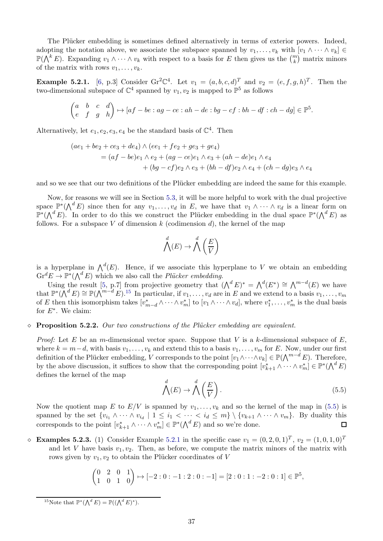The Plücker embedding is sometimes defined alternatively in terms of exterior powers. Indeed, adopting the notation above, we associate the subspace spanned by  $v_1, \ldots, v_k$  with  $[v_1 \wedge \cdots \wedge v_k] \in$  $\mathbb{P}(\bigwedge^k E)$ . Expanding  $v_1 \wedge \cdots \wedge v_k$  with respect to a basis for E then gives us the  $\binom{m}{k}$  matrix minors of the matrix with rows  $v_1, \ldots, v_k$ .

<span id="page-36-2"></span>**Example 5.2.1.** [\[6,](#page-40-7) p.3] Consider Gr<sup>2</sup>C<sup>4</sup>. Let  $v_1 = (a, b, c, d)^T$  and  $v_2 = (e, f, g, h)^T$ . Then the two-dimensional subspace of  $\mathbb{C}^4$  spanned by  $v_1, v_2$  is mapped to  $\mathbb{P}^5$  as follows

$$
\begin{pmatrix} a & b & c & d \\ e & f & g & h \end{pmatrix} \mapsto [af - be : ag - ce : ah - de : bg - cf : bh - df : ch - dg] \in \mathbb{P}^5.
$$

Alternatively, let  $e_1, e_2, e_3, e_4$  be the standard basis of  $\mathbb{C}^4$ . Then

$$
(ae_1 + be_2 + ce_3 + de_4) \wedge (ee_1 + fe_2 + ge_3 + ge_4)
$$
  
=  $(af - be)e_1 \wedge e_2 + (ag - ce)e_1 \wedge e_3 + (ah - de)e_1 \wedge e_4$   
+  $(bg - cf)e_2 \wedge e_3 + (bh - df)e_2 \wedge e_4 + (ch - dg)e_3 \wedge e_4$ 

and so we see that our two definitions of the Plücker embedding are indeed the same for this example.

Now, for reasons we will see in Section [5.3,](#page-37-0) it will be more helpful to work with the dual projective space  $\mathbb{P}^*(\bigwedge^d E)$  since then for any  $v_1,\ldots,v_d$  in E, we have that  $v_1\wedge\cdots\wedge v_d$  is a linear form on  $\mathbb{P}^*(\bigwedge^d E)$ . In order to do this we construct the Plücker embedding in the dual space  $\mathbb{P}^*(\bigwedge^d E)$  as follows. For a subspace V of dimension k (codimension d), the kernel of the map

$$
\bigwedge^d(E) \to \bigwedge^d\left(\frac{E}{V}\right)
$$

is a hyperplane in  $\bigwedge^d(E)$ . Hence, if we associate this hyperplane to V we obtain an embedding  $\mathrm{Gr}^d E \to \mathbb{P}^*(\bigwedge^d E)$  which we also call the *Plücker embedding*.

Using the result [\[5,](#page-40-8) p.7] from projective geometry that  $({\bigwedge}^d E)^* = {\bigwedge}^d (E^*) \cong {\bigwedge}^{m-d}(E)$  we have that  $\mathbb{P}^*(\bigwedge^d E) \cong \mathbb{P}(\bigwedge^{m-d} E)$ .<sup>[15](#page-36-0)</sup> In particular, if  $v_1, \ldots, v_d$  are in E and we extend to a basis  $v_1, \ldots, v_m$ of E then this isomorphism takes  $[v_{m-d}^* \wedge \cdots \wedge v_m^*]$  to  $[v_1 \wedge \cdots \wedge v_d]$ , where  $v_1^*, \ldots, v_m^*$  is the dual basis for  $E^*$ . We claim:

#### <span id="page-36-3"></span>⋄ Proposition 5.2.2. *Our two constructions of the Pl¨ucker embedding are equivalent.*

*Proof:* Let E be an m-dimensional vector space. Suppose that V is a k-dimensional subspace of  $E$ , where  $k = m-d$ , with basis  $v_1, \ldots, v_k$  and extend this to a basis  $v_1, \ldots, v_m$  for E. Now, under our first definition of the Plücker embedding, V corresponds to the point  $[v_1 \wedge \cdots \wedge v_k] \in \mathbb{P}(\bigwedge^{m-d} E)$ . Therefore, by the above discussion, it suffices to show that the corresponding point  $[v_{k+1}^* \wedge \cdots \wedge v_m^*] \in \mathbb{P}^*(\bigwedge^d E)$ defines the kernel of the map

<span id="page-36-1"></span>
$$
\bigwedge^d(E) \to \bigwedge^d\left(\frac{E}{V}\right). \tag{5.5}
$$

Now the quotient map E to  $E/V$  is spanned by  $v_1, \ldots, v_k$  and so the kernel of the map in [\(5.5\)](#page-36-1) is spanned by the set  $\{v_{i_1} \wedge \cdots \wedge v_{i_d} \mid 1 \leq i_1 < \cdots < i_d \leq m\} \setminus \{v_{k+1} \wedge \cdots \wedge v_m\}$ . By duality this corresponds to the point  $[v_{k+1}^* \wedge \cdots \wedge v_m^*] \in \mathbb{P}^*(\bigwedge^d E)$  and so we're done. □

**• Examples 5.2.3.** (1) Consider Example [5.2.1](#page-36-2) in the specific case  $v_1 = (0, 2, 0, 1)^T$ ,  $v_2 = (1, 0, 1, 0)^T$ and let V have basis  $v_1, v_2$ . Then, as before, we compute the matrix minors of the matrix with rows given by  $v_1, v_2$  to obtain the Plücker coordinates of V

$$
\begin{pmatrix} 0 & 2 & 0 & 1 \\ 1 & 0 & 1 & 0 \end{pmatrix} \mapsto [-2:0:-1:2:0:-1] = [2:0:1:-2:0:1] \in \mathbb{P}^5,
$$

<span id="page-36-0"></span><sup>15</sup>Note that  $\mathbb{P}^*(\bigwedge^d E) = \mathbb{P}((\bigwedge^d E)^*)$ .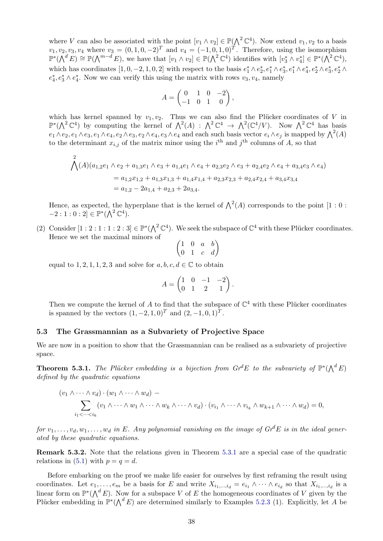where V can also be associated with the point  $[v_1 \wedge v_2] \in \mathbb{P}(\bigwedge^2 \mathbb{C}^4)$ . Now extend  $v_1, v_2$  to a basis  $v_1, v_2, v_3, v_4$  where  $v_3 = (0, 1, 0, -2)^T$  and  $v_4 = (-1, 0, 1, 0)^T$ . Therefore, using the isomorphism  $\mathbb{P}^*(\bigwedge^d E) \cong \mathbb{P}(\bigwedge^{m-d} E)$ , we have that  $[v_1 \wedge v_2] \in \mathbb{P}(\bigwedge^2 \mathbb{C}^4)$  identifies with  $[v_3^* \wedge v_4^*] \in \mathbb{P}^*(\bigwedge^2 \mathbb{C}^4)$ , which has coordinates  $[1, 0, -2, 1, 0, 2]$  with respect to the basis  $e_1^* \wedge e_2^*, e_1^* \wedge e_3^*, e_1^* \wedge e_4^*, e_2^* \wedge e_3^*, e_2^* \wedge e_4^* \wedge e_5^* \wedge e_5^* \wedge e_6^*$  $e_4^*, e_3^* \wedge e_4^*$ . Now we can verify this using the matrix with rows  $v_3, v_4$ , namely

$$
A = \begin{pmatrix} 0 & 1 & 0 & -2 \\ -1 & 0 & 1 & 0 \end{pmatrix},
$$

which has kernel spanned by  $v_1, v_2$ . Thus we can also find the Plücker coordinates of V in  $\mathbb{P}^*(\bigwedge^2 \mathbb{C}^4)$  by computing the kernel of  $\bigwedge^2(A)$  :  $\bigwedge^2 \mathbb{C}^4 \to \bigwedge^2(\mathbb{C}^4/V)$ . Now  $\bigwedge^2 \mathbb{C}^4$  has basis  $e_1\wedge e_2, e_1\wedge e_3, e_1\wedge e_4, e_2\wedge e_3, e_2\wedge e_4, e_3\wedge e_4$  and each such basis vector  $e_i\wedge e_j$  is mapped by  $\bigwedge^2(A)$ to the determinant  $x_{i,j}$  of the matrix minor using the i<sup>th</sup> and j<sup>th</sup> columns of A, so that

$$
\bigwedge^{2}(A)(a_{1,2}e_1 \wedge e_2 + a_{1,3}e_1 \wedge e_3 + a_{1,4}e_1 \wedge e_4 + a_{2,3}e_2 \wedge e_3 + a_{2,4}e_2 \wedge e_4 + a_{3,4}e_3 \wedge e_4)
$$
  
=  $a_{1,2}x_{1,2} + a_{1,3}x_{1,3} + a_{1,4}x_{1,4} + a_{2,3}x_{2,3} + a_{2,4}x_{2,4} + a_{3,4}x_{3,4}$   
=  $a_{1,2} - 2a_{1,4} + a_{2,3} + 2a_{3,4}.$ 

Hence, as expected, the hyperplane that is the kernel of  $\Lambda^2(A)$  corresponds to the point [1 : 0 :  $-2:1:0:2] \in \mathbb{P}^*(\bigwedge^2 \mathbb{C}^4).$ 

(2) Consider  $[1:2:1:1:2:3] \in \mathbb{P}^*(\Lambda^2 \mathbb{C}^4)$ . We seek the subspace of  $\mathbb{C}^4$  with these Plücker coordinates. Hence we set the maximal minors of

$$
\begin{pmatrix}\n1 & 0 & a & b \\
0 & 1 & c & d\n\end{pmatrix}
$$

equal to 1, 2, 1, 1, 2, 3 and solve for  $a, b, c, d \in \mathbb{C}$  to obtain

$$
A = \begin{pmatrix} 1 & 0 & -1 & -2 \\ 0 & 1 & 2 & 1 \end{pmatrix}.
$$

Then we compute the kernel of A to find that the subspace of  $\mathbb{C}^4$  with these Plücker coordinates is spanned by the vectors  $(1, -2, 1, 0)^T$  and  $(2, -1, 0, 1)^T$ .

#### <span id="page-37-0"></span>5.3 The Grassmannian as a Subvariety of Projective Space

We are now in a position to show that the Grassmannian can be realised as a subvariety of projective space.

<span id="page-37-1"></span>**Theorem 5.3.1.** The Plücker embedding is a bijection from  $Gr^dE$  to the subvariety of  $\mathbb{P}^*(\bigwedge^d E)$ *defined by the quadratic equations*

$$
(v_1 \wedge \cdots \wedge v_d) \cdot (w_1 \wedge \cdots \wedge w_d) -
$$
  

$$
\sum_{i_1 < \cdots < i_k} (v_1 \wedge \cdots \wedge w_1 \wedge \cdots \wedge w_k \wedge \cdots \wedge v_d) \cdot (v_{i_1} \wedge \cdots \wedge v_{i_k} \wedge w_{k+1} \wedge \cdots \wedge w_d) = 0,
$$

*for*  $v_1, \ldots, v_d, w_1, \ldots, w_d$  *in* E. Any polynomial vanishing on the image of  $Gr^dE$  *is in the ideal generated by these quadratic equations.*

Remark 5.3.2. Note that the relations given in Theorem [5.3.1](#page-37-1) are a special case of the quadratic relations in [\(5.1\)](#page-34-0) with  $p = q = d$ .

Before embarking on the proof we make life easier for ourselves by first reframing the result using coordinates. Let  $e_1, \ldots, e_m$  be a basis for E and write  $X_{i_1,\ldots,i_d} = e_{i_1} \wedge \cdots \wedge e_{i_d}$  so that  $X_{i_1,\ldots,i_d}$  is a linear form on  $\mathbb{P}^*(\bigwedge^d E)$ . Now for a subspace V of E the homogeneous coordinates of V given by the Plücker embedding in  $\mathbb{P}^*(\bigwedge^d E)$  are determined similarly to Examples 5.2.3 (1). Explicitly, let A be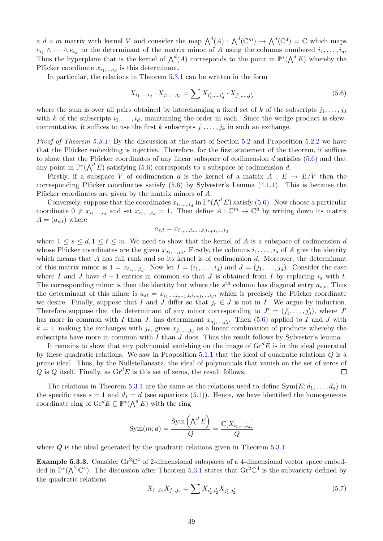a  $d \times m$  matrix with kernel V and consider the map  $\bigwedge^d(A)$  :  $\bigwedge^d(\mathbb{C}^m) \to \bigwedge^d(\mathbb{C}^d) = \mathbb{C}$  which maps  $e_{i_1} \wedge \cdots \wedge e_{i_d}$  to the determinant of the matrix minor of A using the columns numbered  $i_1, \ldots, i_d$ . Thus the hyperplane that is the kernel of  $\bigwedge^d(A)$  corresponds to the point in  $\mathbb{P}^*(\bigwedge^d E)$  whereby the Plücker coordinate  $x_{i_1,\dots,i_d}$  is this determinant.

In particular, the relations in Theorem [5.3.1](#page-37-1) can be written in the form

<span id="page-38-0"></span>
$$
X_{i_1,\dots,i_d} \cdot X_{j_1,\dots,j_d} = \sum X_{i'_1,\dots,i'_d} \cdot X_{j'_1,\dots,j'_d}
$$
\n(5.6)

where the sum is over all pairs obtained by interchanging a fixed set of k of the subscripts  $j_1, \ldots, j_d$ with k of the subscripts  $i_1, \ldots, i_d$ , maintaining the order in each. Since the wedge product is skewcommutative, it suffices to use the first k subscripts  $j_1, \ldots, j_k$  in such an exchange.

*Proof of Theorem [5.3.1:](#page-37-1)* By the discussion at the start of Section [5.2](#page-35-0) and Proposition [5.2.2](#page-36-3) we have that the Plücker embedding is injective. Therefore, for the first statement of the theorem, it suffices to show that the Plücker coordinates of any linear subspace of codimension  $d$  satisfies [\(5.6\)](#page-38-0) and that any point in  $\mathbb{P}^*(\bigwedge^d E)$  satisfying [\(5.6\)](#page-38-0) corresponds to a subspace of codimension d.

Firstly, if a subspace V of codimension d is the kernel of a matrix  $A : E \to E/V$  then the corresponding Plücker coordinates satisfy  $(5.6)$  by Sylvester's Lemma  $(4.1.1)$ . This is because the Plücker coordinates are given by the matrix minors of A.

Conversely, suppose that the coordinates  $x_{i_1,\dots,i_d}$  in  $\mathbb{P}^*(\bigwedge^d E)$  satisfy [\(5.6\)](#page-38-0). Now choose a particular coordinate  $0 \neq x_{i_1,\dots,i_d}$  and set  $x_{i_1,\dots,i_d} = 1$ . Then define  $A: \mathbb{C}^m \to \mathbb{C}^d$  by writing down its matrix  $A = (a_{s,t})$  where

$$
a_{s,t}=x_{i_1,\ldots,i_{s-1},t,i_{s+1},\ldots,i_d}
$$

where  $1 \leq s \leq d, 1 \leq t \leq m$ . We need to show that the kernel of A is a subspace of codimension d whose Plücker coordinates are the given  $x_{j_1,...,j_d}$ . Firstly, the columns  $i_1,...,i_d$  of A give the identity which means that  $A$  has full rank and so its kernel is of codimension  $d$ . Moreover, the determinant of this matrix minor is  $1 = x_{i_1,\dots,i_d}$ . Now let  $I = (i_1,\dots,i_d)$  and  $J = (j_1,\dots,j_d)$ . Consider the case where I and J have  $d-1$  entries in common so that J is obtained from I by replacing  $i_s$  with t. The corresponding minor is then the identity but where the  $s<sup>th</sup>$  column has diagonal entry  $a_{s,t}$ . Thus the determinant of this minor is  $a_{st} = x_{i_1,\dots,i_{s-1},t,i_{s+1},\dots,i_d}$ , which is precisely the Plücker coordinate we desire. Finally, suppose that I and J differ so that  $j_r \in J$  is not in I. We argue by induction. Therefore suppose that the determinant of any minor corresponding to  $J' = (j'_1, \ldots, j'_d)$ , where  $J'$ has more in common with I than J, has determinant  $x_{j'_1,...,j'_d}$ . Then [\(5.6\)](#page-38-0) applied to I and J with  $k = 1$ , making the exchanges with  $j_r$ , gives  $x_{j_1,...,j_d}$  as a linear combination of products whereby the subscripts have more in common with  $I$  than  $J$  does. Thus the result follows by Sylvester's lemma.

It remains to show that any polynomial vanishing on the image of  $\mathrm{Gr}^d E$  is in the ideal generated by these quadratic relations. We saw in Proposition [5.1.1](#page-35-2) that the ideal of quadratic relations Q is a prime ideal. Thus, by the Nullstellansatz, the ideal of polynomials that vanish on the set of zeros of Q is Q itself. Finally, as  $\text{Gr}^d E$  is this set of zeros, the result follows.  $\Box$ 

The relations in Theorem [5.3.1](#page-37-1) are the same as the relations used to define  $Sym(E; d_1, \ldots, d_s)$  in the specific case  $s = 1$  and  $d_1 = d$  (see equations [\(5.1\)](#page-34-0)). Hence, we have identified the homogeneous coordinate ring of  $\text{Gr}^d E \subseteq \mathbb{P}^*(\bigwedge^d E)$  with the ring

$$
Sym(m;d) = \frac{Sym\left(\bigwedge^d E\right)}{Q} = \frac{\mathbb{C}[X_{i_1,\dots,i_d}]}{Q}
$$

where Q is the ideal generated by the quadratic relations given in Theorem [5.3.1.](#page-37-1)

**Example 5.3.3.** Consider Gr<sup>2</sup> $\mathbb{C}^4$  of 2-dimensional subspaces of a 4-dimensional vector space embedded in  $\mathbb{P}^*(\bigwedge^2 \mathbb{C}^4)$ . The discussion after Theorem [5.3.1](#page-37-1) states that  $\text{Gr}^2\mathbb{C}^4$  is the subvariety defined by the quadratic relations

$$
X_{i_1,i_2}X_{j_1,j_2} = \sum X_{i'_2,i'_2}X_{j'_1,j'_2}
$$
\n(5.7)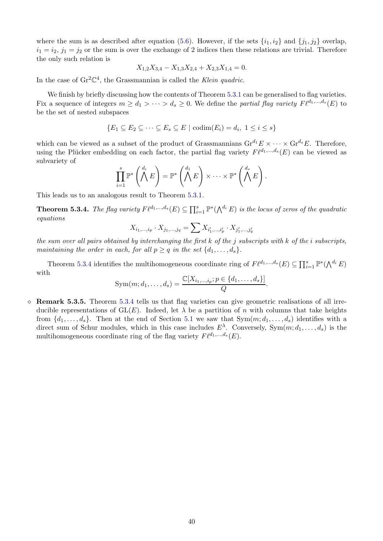where the sum is as described after equation [\(5.6\)](#page-38-0). However, if the sets  $\{i_1, i_2\}$  and  $\{j_1, j_2\}$  overlap,  $i_1 = i_2$ ,  $j_1 = j_2$  or the sum is over the exchange of 2 indices then these relations are trivial. Therefore the only such relation is

$$
X_{1,2}X_{3,4} - X_{1,3}X_{2,4} + X_{2,3}X_{1,4} = 0.
$$

In the case of  $\text{Gr}^2\mathbb{C}^4$ , the Grassmannian is called the *Klein quadric*.

We finish by briefly discussing how the contents of Theorem [5.3.1](#page-37-1) can be generalised to flag varieties. Fix a sequence of integers  $m \geq d_1 > \cdots > d_s \geq 0$ . We define the *partial flag variety*  $F\ell^{d_1,\dots,d_s}(E)$  to be the set of nested subspaces

$$
\{E_1 \subseteq E_2 \subseteq \cdots \subseteq E_s \subseteq E \mid \mathrm{codim}(E_i) = d_i, \ 1 \le i \le s\}
$$

which can be viewed as a subset of the product of Grassmannians  $\mathrm{Gr}^{d_1}E \times \cdots \times \mathrm{Gr}^{d_s}E$ . Therefore, using the Plücker embedding on each factor, the partial flag variety  $F\ell^{d_1,\dots,d_s}(E)$  can be viewed as subvariety of

$$
\prod_{i=1}^s \mathbb{P}^* \left( \bigwedge^{d_i} E \right) = \mathbb{P}^* \left( \bigwedge^{d_1} E \right) \times \cdots \times \mathbb{P}^* \left( \bigwedge^{d_s} E \right).
$$

This leads us to an analogous result to Theorem [5.3.1.](#page-37-1)

<span id="page-39-0"></span>**Theorem 5.3.4.** *The flag variety*  $F\ell^{d_1,...,d_s}(E) \subseteq \prod_{i=1}^s \mathbb{P}^*(\bigwedge^{d_i} E)$  *is the locus of zeros of the quadratic equations*

$$
X_{i_1,\dots,i_p} \cdot X_{j_1,\dots,j_q} = \sum X_{i'_1,\dots,i'_p} \cdot X_{j'_1,\dots,j'_q}
$$

*the sum over all pairs obtained by interchanging the first* k *of the* j *subscripts with* k *of the* i *subscripts, maintaining the order in each, for all*  $p \geq q$  *in the set*  $\{d_1, \ldots, d_s\}$ .

Theorem [5.3.4](#page-39-0) identifies the multihomogeneous coordinate ring of  $F\ell^{d_1,\dots,d_s}(E) \subseteq \prod_{i=1}^s \mathbb{P}^*(\bigwedge^{d_i} E)$ with

Sym
$$
(m; d_1, ..., d_s)
$$
 =  $\frac{\mathbb{C}[X_{i_1,...,i_p}; p \in \{d_1,...,d_s\}]}{Q}$ .

 $\Diamond$  Remark 5.3.5. Theorem [5.3.4](#page-39-0) tells us that flag varieties can give geometric realisations of all irreducible representations of  $GL(E)$ . Indeed, let  $\lambda$  be a partition of n with columns that take heights from  $\{d_1, \ldots, d_s\}$ . Then at the end of Section [5.1](#page-33-1) we saw that  $Sym(m; d_1, \ldots, d_s)$  identifies with a direct sum of Schur modules, which in this case includes  $E^{\lambda}$ . Conversely,  $Sym(m; d_1, \ldots, d_s)$  is the multihomogeneous coordinate ring of the flag variety  $F\ell^{d_1,\dots,d_s}(E)$ .